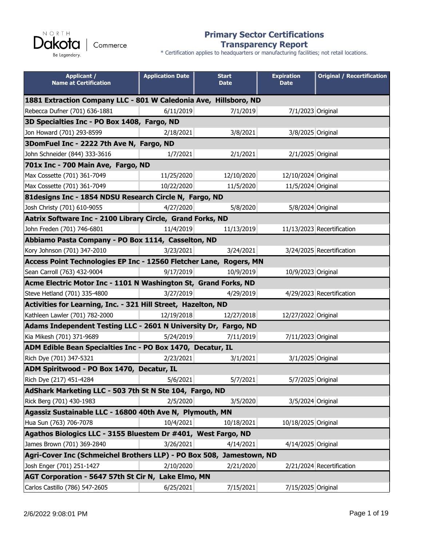NORTH **akota** D Commerce Be Legendary.

#### **Primary Sector Certifications Transparency Report**

| <b>Applicant /</b><br><b>Name at Certification</b>                   | <b>Application Date</b> | <b>Start</b><br><b>Date</b> | <b>Expiration</b><br><b>Date</b> | <b>Original / Recertification</b> |
|----------------------------------------------------------------------|-------------------------|-----------------------------|----------------------------------|-----------------------------------|
| 1881 Extraction Company LLC - 801 W Caledonia Ave, Hillsboro, ND     |                         |                             |                                  |                                   |
| Rebecca Dufner (701) 636-1881                                        | 6/11/2019               | 7/1/2019                    | 7/1/2023 Original                |                                   |
| 3D Specialties Inc - PO Box 1408, Fargo, ND                          |                         |                             |                                  |                                   |
| Jon Howard (701) 293-8599                                            | 2/18/2021               | 3/8/2021                    | 3/8/2025 Original                |                                   |
| 3DomFuel Inc - 2222 7th Ave N, Fargo, ND                             |                         |                             |                                  |                                   |
| John Schneider (844) 333-3616                                        | 1/7/2021                | 2/1/2021                    | 2/1/2025 Original                |                                   |
| 701x Inc - 700 Main Ave, Fargo, ND                                   |                         |                             |                                  |                                   |
| Max Cossette (701) 361-7049                                          | 11/25/2020              | 12/10/2020                  | 12/10/2024 Original              |                                   |
| Max Cossette (701) 361-7049                                          | 10/22/2020              | 11/5/2020                   | 11/5/2024 Original               |                                   |
| 81 designs Inc - 1854 NDSU Research Circle N, Fargo, ND              |                         |                             |                                  |                                   |
| Josh Christy (701) 610-9055                                          | 4/27/2020               | 5/8/2020                    | 5/8/2024 Original                |                                   |
| Aatrix Software Inc - 2100 Library Circle, Grand Forks, ND           |                         |                             |                                  |                                   |
| John Freden (701) 746-6801                                           | 11/4/2019               | 11/13/2019                  |                                  | 11/13/2023 Recertification        |
| Abbiamo Pasta Company - PO Box 1114, Casselton, ND                   |                         |                             |                                  |                                   |
| Kory Johnson (701) 347-2010                                          | 3/23/2021               | 3/24/2021                   |                                  | 3/24/2025 Recertification         |
| Access Point Technologies EP Inc - 12560 Fletcher Lane, Rogers, MN   |                         |                             |                                  |                                   |
| Sean Carroll (763) 432-9004                                          | 9/17/2019               | 10/9/2019                   | 10/9/2023 Original               |                                   |
| Acme Electric Motor Inc - 1101 N Washington St, Grand Forks, ND      |                         |                             |                                  |                                   |
| Steve Hetland (701) 335-4800                                         | 3/27/2019               | 4/29/2019                   |                                  | 4/29/2023 Recertification         |
| Activities for Learning, Inc. - 321 Hill Street, Hazelton, ND        |                         |                             |                                  |                                   |
| Kathleen Lawler (701) 782-2000                                       | 12/19/2018              | 12/27/2018                  | 12/27/2022 Original              |                                   |
| Adams Independent Testing LLC - 2601 N University Dr, Fargo, ND      |                         |                             |                                  |                                   |
| Kia Mikesh (701) 371-9689                                            | 5/24/2019               | 7/11/2019                   | 7/11/2023 Original               |                                   |
| ADM Edible Bean Specialties Inc - PO Box 1470, Decatur, IL           |                         |                             |                                  |                                   |
| Rich Dye (701) 347-5321                                              | 2/23/2021               | 3/1/2021                    | 3/1/2025 Original                |                                   |
| ADM Spiritwood - PO Box 1470, Decatur, IL                            |                         |                             |                                  |                                   |
| Rich Dye (217) 451-4284                                              | 5/6/2021                | 5/7/2021                    | 5/7/2025 Original                |                                   |
| AdShark Marketing LLC - 503 7th St N Ste 104, Fargo, ND              |                         |                             |                                  |                                   |
| Rick Berg (701) 430-1983                                             | 2/5/2020                | 3/5/2020                    | 3/5/2024 Original                |                                   |
| Agassiz Sustainable LLC - 16800 40th Ave N, Plymouth, MN             |                         |                             |                                  |                                   |
| Hua Sun (763) 706-7078                                               | 10/4/2021               | 10/18/2021                  | 10/18/2025 Original              |                                   |
| Agathos Biologics LLC - 3155 Bluestem Dr #401, West Fargo, ND        |                         |                             |                                  |                                   |
| James Brown (701) 369-2840                                           | 3/26/2021               | 4/14/2021                   | 4/14/2025 Original               |                                   |
| Agri-Cover Inc (Schmeichel Brothers LLP) - PO Box 508, Jamestown, ND |                         |                             |                                  |                                   |
| Josh Enger (701) 251-1427                                            | 2/10/2020               | 2/21/2020                   |                                  | 2/21/2024 Recertification         |
| AGT Corporation - 5647 57th St Cir N, Lake Elmo, MN                  |                         |                             |                                  |                                   |
| Carlos Castillo (786) 547-2605                                       | 6/25/2021               | 7/15/2021                   | 7/15/2025 Original               |                                   |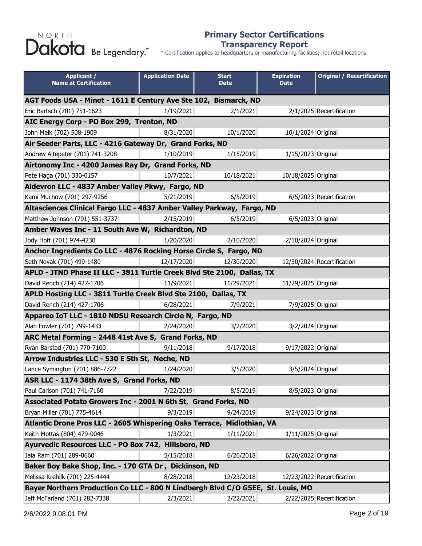#### **Primary Sector Certifications Transparency Report**

| <b>Applicant /</b><br><b>Name at Certification</b>                              | <b>Application Date</b> | <b>Start</b><br><b>Date</b> | <b>Expiration</b><br><b>Date</b> | <b>Original / Recertification</b> |  |
|---------------------------------------------------------------------------------|-------------------------|-----------------------------|----------------------------------|-----------------------------------|--|
| AGT Foods USA - Minot - 1611 E Century Ave Ste 102, Bismarck, ND                |                         |                             |                                  |                                   |  |
| Eric Bartsch (701) 751-1623                                                     | 1/19/2021               | 2/1/2021                    |                                  | 2/1/2025 Recertification          |  |
| AIC Energy Corp - PO Box 299, Trenton, ND                                       |                         |                             |                                  |                                   |  |
| John Melk (702) 508-1909                                                        | 8/31/2020               | 10/1/2020                   | 10/1/2024 Original               |                                   |  |
| Air Seeder Parts, LLC - 4216 Gateway Dr, Grand Forks, ND                        |                         |                             |                                  |                                   |  |
| Andrew Altepeter (701) 741-3208                                                 | 1/10/2019               | 1/15/2019                   | 1/15/2023 Original               |                                   |  |
| Airtonomy Inc - 4200 James Ray Dr, Grand Forks, ND                              |                         |                             |                                  |                                   |  |
| Pete Haga (701) 330-0157                                                        | 10/7/2021               | 10/18/2021                  | 10/18/2025 Original              |                                   |  |
| Aldevron LLC - 4837 Amber Valley Pkwy, Fargo, ND                                |                         |                             |                                  |                                   |  |
| Kami Muchow (701) 297-9256                                                      | 5/21/2019               | 6/5/2019                    |                                  | 6/5/2023 Recertification          |  |
| Altasciences Clinical Fargo LLC - 4837 Amber Valley Parkway, Fargo, ND          |                         |                             |                                  |                                   |  |
| Matthew Johnson (701) 551-3737                                                  | 2/15/2019               | 6/5/2019                    | 6/5/2023 Original                |                                   |  |
| Amber Waves Inc - 11 South Ave W, Richardton, ND                                |                         |                             |                                  |                                   |  |
| Jody Hoff (701) 974-4230                                                        | 1/20/2020               | 2/10/2020                   | 2/10/2024 Original               |                                   |  |
| Anchor Ingredients Co LLC - 4876 Rocking Horse Circle S, Fargo, ND              |                         |                             |                                  |                                   |  |
| Seth Novak (701) 499-1480                                                       | 12/17/2020              | 12/30/2020                  |                                  | 12/30/2024 Recertification        |  |
| APLD - JTND Phase II LLC - 3811 Turtle Creek Blvd Ste 2100, Dallas, TX          |                         |                             |                                  |                                   |  |
| David Rench (214) 427-1706                                                      | 11/9/2021               | 11/29/2021                  | 11/29/2025 Original              |                                   |  |
| APLD Hosting LLC - 3811 Turtle Creek Blvd Ste 2100, Dallas, TX                  |                         |                             |                                  |                                   |  |
| David Rench (214) 427-1706                                                      | 6/28/2021               | 7/9/2021                    | 7/9/2025 Original                |                                   |  |
| Appareo IoT LLC - 1810 NDSU Research Circle N, Fargo, ND                        |                         |                             |                                  |                                   |  |
| Alan Fowler (701) 799-1433                                                      | 2/24/2020               | 3/2/2020                    | 3/2/2024 Original                |                                   |  |
| ARC Metal Forming - 2448 41st Ave S, Grand Forks, ND                            |                         |                             |                                  |                                   |  |
| Ryan Barstad (701) 770-7100                                                     | 9/11/2018               | 9/17/2018                   | 9/17/2022 Original               |                                   |  |
| Arrow Industries LLC - 530 E 5th St, Neche, ND                                  |                         |                             |                                  |                                   |  |
| Lance Symington (701) 886-7722                                                  | 1/24/2020               | 3/5/2020                    | 3/5/2024 Original                |                                   |  |
| ASR LLC - 1174 38th Ave S, Grand Forks, ND                                      |                         |                             |                                  |                                   |  |
| Paul Carlson (701) 741-7160                                                     | 7/22/2019               | 8/5/2019                    | 8/5/2023 Original                |                                   |  |
| Associated Potato Growers Inc - 2001 N 6th St, Grand Forks, ND                  |                         |                             |                                  |                                   |  |
| Bryan Miller (701) 775-4614                                                     | 9/3/2019                | 9/24/2019                   | 9/24/2023 Original               |                                   |  |
| Atlantic Drone Pros LLC - 2605 Whispering Oaks Terrace,                         |                         | Midlothian, VA              |                                  |                                   |  |
| Keith Mottas (804) 479-0046                                                     | 1/3/2021                | 1/11/2021                   | 1/11/2025 Original               |                                   |  |
| Ayurvedic Resources LLC - PO Box 742, Hillsboro, ND                             |                         |                             |                                  |                                   |  |
| Jaia Ram (701) 289-0660                                                         | 5/15/2018               | 6/26/2018                   | 6/26/2022 Original               |                                   |  |
| Baker Boy Bake Shop, Inc. - 170 GTA Dr, Dickinson, ND                           |                         |                             |                                  |                                   |  |
| Melissa Krehilk (701) 225-4444                                                  | 8/28/2018               | 12/23/2018                  |                                  | 12/23/2022 Recertification        |  |
| Bayer Northern Production Co LLC - 800 N Lindbergh Blvd C/O G5EE, St. Louis, MO |                         |                             |                                  |                                   |  |
| Jeff McFarland (701) 282-7338                                                   | 2/3/2021                | 2/22/2021                   |                                  | 2/22/2025 Recertification         |  |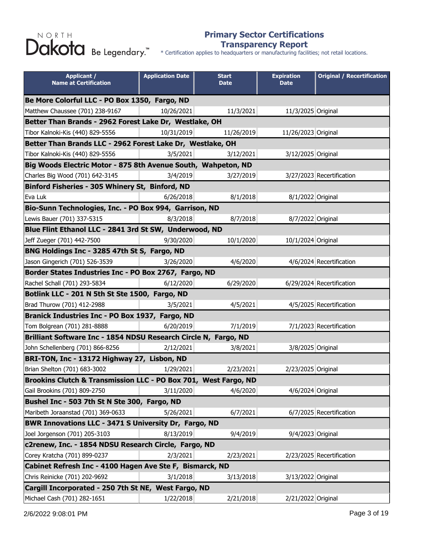#### **Primary Sector Certifications Transparency Report**

\* Certification applies to headquarters or manufacturing facilities; not retail locations.

| <b>Applicant /</b><br><b>Name at Certification</b>              | <b>Application Date</b> | <b>Start</b><br><b>Date</b> | <b>Expiration</b><br><b>Date</b> | <b>Original / Recertification</b> |
|-----------------------------------------------------------------|-------------------------|-----------------------------|----------------------------------|-----------------------------------|
| Be More Colorful LLC - PO Box 1350, Fargo, ND                   |                         |                             |                                  |                                   |
| Matthew Chaussee (701) 238-9167                                 | 10/26/2021              | 11/3/2021                   | 11/3/2025 Original               |                                   |
| Better Than Brands - 2962 Forest Lake Dr, Westlake, OH          |                         |                             |                                  |                                   |
| Tibor Kalnoki-Kis (440) 829-5556                                | 10/31/2019              | 11/26/2019                  | 11/26/2023 Original              |                                   |
| Better Than Brands LLC - 2962 Forest Lake Dr, Westlake, OH      |                         |                             |                                  |                                   |
| Tibor Kalnoki-Kis (440) 829-5556                                | 3/5/2021                | 3/12/2021                   | 3/12/2025 Original               |                                   |
| Big Woods Electric Motor - 875 8th Avenue South, Wahpeton, ND   |                         |                             |                                  |                                   |
| Charles Big Wood (701) 642-3145                                 | 3/4/2019                | 3/27/2019                   |                                  | 3/27/2023 Recertification         |
| Binford Fisheries - 305 Whinery St, Binford, ND                 |                         |                             |                                  |                                   |
| Eva Luk                                                         | 6/26/2018               | 8/1/2018                    | 8/1/2022 Original                |                                   |
| Bio-Sunn Technologies, Inc. - PO Box 994, Garrison, ND          |                         |                             |                                  |                                   |
| Lewis Bauer (701) 337-5315                                      | 8/3/2018                | 8/7/2018                    | 8/7/2022 Original                |                                   |
| Blue Flint Ethanol LLC - 2841 3rd St SW, Underwood, ND          |                         |                             |                                  |                                   |
| Jeff Zueger (701) 442-7500                                      | 9/30/2020               | 10/1/2020                   | 10/1/2024 Original               |                                   |
| BNG Holdings Inc - 3285 47th St S, Fargo, ND                    |                         |                             |                                  |                                   |
| Jason Gingerich (701) 526-3539                                  | 3/26/2020               | 4/6/2020                    |                                  | 4/6/2024 Recertification          |
| Border States Industries Inc - PO Box 2767, Fargo, ND           |                         |                             |                                  |                                   |
| Rachel Schall (701) 293-5834                                    | 6/12/2020               | 6/29/2020                   |                                  | 6/29/2024 Recertification         |
| Botlink LLC - 201 N 5th St Ste 1500, Fargo, ND                  |                         |                             |                                  |                                   |
| Brad Thurow (701) 412-2988                                      | 3/5/2021                | 4/5/2021                    |                                  | 4/5/2025 Recertification          |
| Branick Industries Inc - PO Box 1937, Fargo, ND                 |                         |                             |                                  |                                   |
| Tom Bolgrean (701) 281-8888                                     | 6/20/2019               | 7/1/2019                    |                                  | 7/1/2023 Recertification          |
| Brilliant Software Inc - 1854 NDSU Research Circle N, Fargo, ND |                         |                             |                                  |                                   |
| John Schellenberg (701) 866-8256                                | 2/12/2021               | 3/8/2021                    | 3/8/2025 Original                |                                   |
| BRI-TON, Inc - 13172 Highway 27, Lisbon, ND                     |                         |                             |                                  |                                   |
| Brian Shelton (701) 683-3002                                    | 1/29/2021               | 2/23/2021                   | 2/23/2025 Original               |                                   |
| Brookins Clutch & Transmission LLC - PO Box 701, West Fargo, ND |                         |                             |                                  |                                   |
| Gail Brookins (701) 809-2750                                    | 3/11/2020               | 4/6/2020                    | 4/6/2024 Original                |                                   |
| Bushel Inc - 503 7th St N Ste 300, Fargo, ND                    |                         |                             |                                  |                                   |
| Maribeth Joraanstad (701) 369-0633                              | 5/26/2021               | 6/7/2021                    |                                  | 6/7/2025 Recertification          |
| <b>BWR Innovations LLC - 3471 S University Dr, Fargo, ND</b>    |                         |                             |                                  |                                   |
| Joel Jorgenson (701) 205-3103                                   | 8/13/2019               | 9/4/2019                    | 9/4/2023 Original                |                                   |
| c2renew, Inc. - 1854 NDSU Research Circle, Fargo, ND            |                         |                             |                                  |                                   |
| Corey Kratcha (701) 899-0237                                    | 2/3/2021                | 2/23/2021                   |                                  | 2/23/2025 Recertification         |
| Cabinet Refresh Inc - 4100 Hagen Ave Ste F, Bismarck, ND        |                         |                             |                                  |                                   |
| Chris Reinicke (701) 202-9692                                   | 3/1/2018                | 3/13/2018                   | 3/13/2022 Original               |                                   |
| Cargill Incorporated - 250 7th St NE, West Fargo, ND            |                         |                             |                                  |                                   |
| Michael Cash (701) 282-1651                                     | 1/22/2018               | 2/21/2018                   | 2/21/2022 Original               |                                   |

2/6/2022 9:08:01 PM Page 3 of 19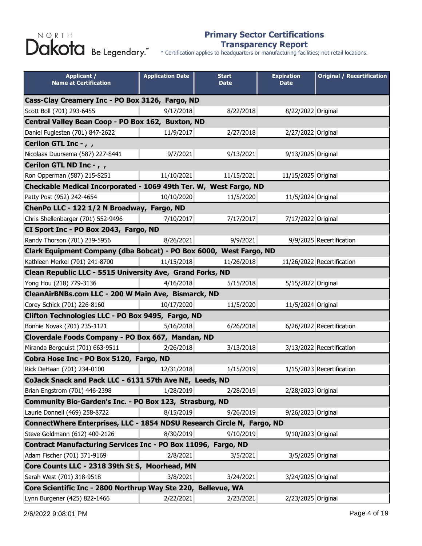#### **Primary Sector Certifications Transparency Report**

| <b>Applicant /</b><br><b>Name at Certification</b>                     | <b>Application Date</b> | <b>Start</b><br><b>Date</b> | <b>Expiration</b><br><b>Date</b> | <b>Original / Recertification</b> |  |
|------------------------------------------------------------------------|-------------------------|-----------------------------|----------------------------------|-----------------------------------|--|
| Cass-Clay Creamery Inc - PO Box 3126, Fargo, ND                        |                         |                             |                                  |                                   |  |
| Scott Boll (701) 293-6455                                              | 9/17/2018               | 8/22/2018                   | 8/22/2022 Original               |                                   |  |
| Central Valley Bean Coop - PO Box 162, Buxton, ND                      |                         |                             |                                  |                                   |  |
| Daniel Fuglesten (701) 847-2622                                        | 11/9/2017               | 2/27/2018                   | 2/27/2022 Original               |                                   |  |
| Cerilon GTL Inc -,,                                                    |                         |                             |                                  |                                   |  |
| Nicolaas Duursema (587) 227-8441                                       | 9/7/2021                | 9/13/2021                   | 9/13/2025 Original               |                                   |  |
| Cerilon GTL ND Inc - , ,                                               |                         |                             |                                  |                                   |  |
| Ron Opperman (587) 215-8251                                            | 11/10/2021              | 11/15/2021                  | 11/15/2025 Original              |                                   |  |
| Checkable Medical Incorporated - 1069 49th Ter. W, West Fargo, ND      |                         |                             |                                  |                                   |  |
| Patty Post (952) 242-4654                                              | 10/10/2020              | 11/5/2020                   | 11/5/2024 Original               |                                   |  |
| ChenPo LLC - 122 1/2 N Broadway, Fargo, ND                             |                         |                             |                                  |                                   |  |
| Chris Shellenbarger (701) 552-9496                                     | 7/10/2017               | 7/17/2017                   | 7/17/2022 Original               |                                   |  |
| CI Sport Inc - PO Box 2043, Fargo, ND                                  |                         |                             |                                  |                                   |  |
| Randy Thorson (701) 239-5956                                           | 8/26/2021               | 9/9/2021                    |                                  | 9/9/2025 Recertification          |  |
| Clark Equipment Company (dba Bobcat) - PO Box 6000, West Fargo, ND     |                         |                             |                                  |                                   |  |
| Kathleen Merkel (701) 241-8700                                         | 11/15/2018              | 11/26/2018                  |                                  | 11/26/2022 Recertification        |  |
| Clean Republic LLC - 5515 University Ave, Grand Forks, ND              |                         |                             |                                  |                                   |  |
| Yong Hou (218) 779-3136                                                | 4/16/2018               | 5/15/2018                   | 5/15/2022 Original               |                                   |  |
| CleanAirBNBs.com LLC - 200 W Main Ave, Bismarck, ND                    |                         |                             |                                  |                                   |  |
| Corey Schick (701) 226-8160                                            | 10/17/2020              | 11/5/2020                   | 11/5/2024 Original               |                                   |  |
| Clifton Technologies LLC - PO Box 9495, Fargo, ND                      |                         |                             |                                  |                                   |  |
| Bonnie Novak (701) 235-1121                                            | 5/16/2018               | 6/26/2018                   |                                  | 6/26/2022 Recertification         |  |
| Cloverdale Foods Company - PO Box 667, Mandan, ND                      |                         |                             |                                  |                                   |  |
| Miranda Bergquist (701) 663-9511                                       | 2/26/2018               | 3/13/2018                   |                                  | 3/13/2022 Recertification         |  |
| Cobra Hose Inc - PO Box 5120, Fargo, ND                                |                         |                             |                                  |                                   |  |
| Rick DeHaan (701) 234-0100                                             | 12/31/2018              | 1/15/2019                   |                                  | 1/15/2023 Recertification         |  |
| CoJack Snack and Pack LLC - 6131 57th Ave NE, Leeds, ND                |                         |                             |                                  |                                   |  |
| Brian Engstrom (701) 446-2398                                          | 1/28/2019               | 2/28/2019                   | 2/28/2023 Original               |                                   |  |
| Community Bio-Garden's Inc. - PO Box 123, Strasburg, ND                |                         |                             |                                  |                                   |  |
| Laurie Donnell (469) 258-8722                                          | 8/15/2019               | 9/26/2019                   | 9/26/2023 Original               |                                   |  |
| ConnectWhere Enterprises, LLC - 1854 NDSU Research Circle N, Fargo, ND |                         |                             |                                  |                                   |  |
| Steve Goldmann (612) 400-2126                                          | 8/30/2019               | 9/10/2019                   | 9/10/2023 Original               |                                   |  |
| Contract Manufacturing Services Inc - PO Box 11096, Fargo, ND          |                         |                             |                                  |                                   |  |
| Adam Fischer (701) 371-9169                                            | 2/8/2021                | 3/5/2021                    | 3/5/2025 Original                |                                   |  |
| Core Counts LLC - 2318 39th St S, Moorhead, MN                         |                         |                             |                                  |                                   |  |
| Sarah West (701) 318-9518                                              | 3/8/2021                | 3/24/2021                   | 3/24/2025 Original               |                                   |  |
| Core Scientific Inc - 2800 Northrup Way Ste 220, Bellevue, WA          |                         |                             |                                  |                                   |  |
| Lynn Burgener (425) 822-1466                                           | 2/22/2021               | 2/23/2021                   | 2/23/2025 Original               |                                   |  |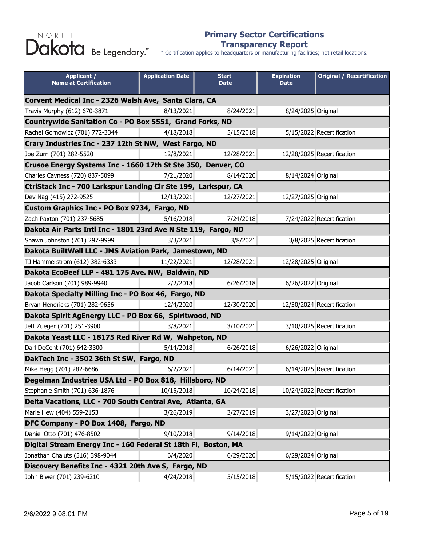#### **Primary Sector Certifications Transparency Report**

| <b>Applicant /</b><br><b>Name at Certification</b>             | <b>Application Date</b> | <b>Start</b><br><b>Date</b> | <b>Expiration</b><br><b>Date</b> | <b>Original / Recertification</b> |
|----------------------------------------------------------------|-------------------------|-----------------------------|----------------------------------|-----------------------------------|
| Corvent Medical Inc - 2326 Walsh Ave, Santa Clara, CA          |                         |                             |                                  |                                   |
| Travis Murphy (612) 670-3871                                   | 8/13/2021               | 8/24/2021                   | 8/24/2025 Original               |                                   |
| Countrywide Sanitation Co - PO Box 5551, Grand Forks, ND       |                         |                             |                                  |                                   |
| Rachel Gornowicz (701) 772-3344                                | 4/18/2018               | 5/15/2018                   |                                  | 5/15/2022 Recertification         |
| Crary Industries Inc - 237 12th St NW, West Fargo, ND          |                         |                             |                                  |                                   |
| Joe Zurn (701) 282-5520                                        | 12/8/2021               | 12/28/2021                  |                                  | 12/28/2025 Recertification        |
| Crusoe Energy Systems Inc - 1660 17th St Ste 350, Denver, CO   |                         |                             |                                  |                                   |
| Charles Cavness (720) 837-5099                                 | 7/21/2020               | 8/14/2020                   | 8/14/2024 Original               |                                   |
| CtrlStack Inc - 700 Larkspur Landing Cir Ste 199, Larkspur, CA |                         |                             |                                  |                                   |
| Dev Nag (415) 272-9525                                         | 12/13/2021              | 12/27/2021                  | 12/27/2025 Original              |                                   |
| Custom Graphics Inc - PO Box 9734, Fargo, ND                   |                         |                             |                                  |                                   |
| Zach Paxton (701) 237-5685                                     | 5/16/2018               | 7/24/2018                   |                                  | 7/24/2022 Recertification         |
| Dakota Air Parts Intl Inc - 1801 23rd Ave N Ste 119, Fargo, ND |                         |                             |                                  |                                   |
| Shawn Johnston (701) 297-9999                                  | 3/3/2021                | 3/8/2021                    |                                  | 3/8/2025 Recertification          |
| Dakota BuiltWell LLC - JMS Aviation Park, Jamestown, ND        |                         |                             |                                  |                                   |
| TJ Hammerstrom (612) 382-6333                                  | 11/22/2021              | 12/28/2021                  | 12/28/2025 Original              |                                   |
| Dakota EcoBeef LLP - 481 175 Ave. NW, Baldwin, ND              |                         |                             |                                  |                                   |
| Jacob Carlson (701) 989-9940                                   | 2/2/2018                | 6/26/2018                   | 6/26/2022 Original               |                                   |
| Dakota Specialty Milling Inc - PO Box 46, Fargo, ND            |                         |                             |                                  |                                   |
| Bryan Hendricks (701) 282-9656                                 | 12/4/2020               | 12/30/2020                  |                                  | 12/30/2024 Recertification        |
| Dakota Spirit AgEnergy LLC - PO Box 66, Spiritwood, ND         |                         |                             |                                  |                                   |
| Jeff Zueger (701) 251-3900                                     | 3/8/2021                | 3/10/2021                   |                                  | 3/10/2025 Recertification         |
| Dakota Yeast LLC - 18175 Red River Rd W, Wahpeton, ND          |                         |                             |                                  |                                   |
| Darl DeCent (701) 642-3300                                     | 5/14/2018               | 6/26/2018                   | 6/26/2022 Original               |                                   |
| DakTech Inc - 3502 36th St SW, Fargo, ND                       |                         |                             |                                  |                                   |
| Mike Hegg (701) 282-6686                                       | 6/2/2021                | 6/14/2021                   |                                  | 6/14/2025 Recertification         |
| Degelman Industries USA Ltd - PO Box 818, Hillsboro, ND        |                         |                             |                                  |                                   |
| Stephanie Smith (701) 636-1876                                 | 10/15/2018              | 10/24/2018                  |                                  | 10/24/2022 Recertification        |
| Delta Vacations, LLC - 700 South Central Ave, Atlanta, GA      |                         |                             |                                  |                                   |
| Marie Hew (404) 559-2153                                       | 3/26/2019               | 3/27/2019                   | 3/27/2023 Original               |                                   |
| DFC Company - PO Box 1408, Fargo, ND                           |                         |                             |                                  |                                   |
| Daniel Otto (701) 476-8502                                     | 9/10/2018               | 9/14/2018                   | 9/14/2022 Original               |                                   |
| Digital Stream Energy Inc - 160 Federal St 18th Fl, Boston, MA |                         |                             |                                  |                                   |
| Jonathan Chaluts (516) 398-9044                                | 6/4/2020                | 6/29/2020                   | 6/29/2024 Original               |                                   |
| Discovery Benefits Inc - 4321 20th Ave S, Fargo, ND            |                         |                             |                                  |                                   |
| John Biwer (701) 239-6210                                      | 4/24/2018               | 5/15/2018                   |                                  | 5/15/2022 Recertification         |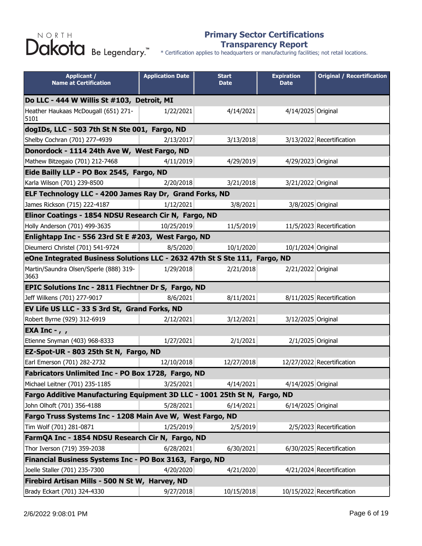#### **Primary Sector Certifications Transparency Report**

| <b>Applicant /</b><br><b>Name at Certification</b>                         | <b>Application Date</b> | <b>Start</b><br><b>Date</b> | <b>Expiration</b><br><b>Date</b> | <b>Original / Recertification</b> |  |
|----------------------------------------------------------------------------|-------------------------|-----------------------------|----------------------------------|-----------------------------------|--|
| Do LLC - 444 W Willis St #103, Detroit, MI                                 |                         |                             |                                  |                                   |  |
| Heather Haukaas McDougall (651) 271-<br>5101                               | 1/22/2021               | 4/14/2021                   | 4/14/2025 Original               |                                   |  |
| dogIDs, LLC - 503 7th St N Ste 001, Fargo, ND                              |                         |                             |                                  |                                   |  |
| Shelby Cochran (701) 277-4939                                              | 2/13/2017               | 3/13/2018                   |                                  | 3/13/2022 Recertification         |  |
| Donordock - 1114 24th Ave W, West Fargo, ND                                |                         |                             |                                  |                                   |  |
| Mathew Bitzegaio (701) 212-7468                                            | 4/11/2019               | 4/29/2019                   | 4/29/2023 Original               |                                   |  |
| Eide Bailly LLP - PO Box 2545, Fargo, ND                                   |                         |                             |                                  |                                   |  |
| Karla Wilson (701) 239-8500                                                | 2/20/2018               | 3/21/2018                   | 3/21/2022 Original               |                                   |  |
| ELF Technology LLC - 4200 James Ray Dr, Grand Forks, ND                    |                         |                             |                                  |                                   |  |
| James Rickson (715) 222-4187                                               | 1/12/2021               | 3/8/2021                    | 3/8/2025 Original                |                                   |  |
| Elinor Coatings - 1854 NDSU Research Cir N, Fargo, ND                      |                         |                             |                                  |                                   |  |
| Holly Anderson (701) 499-3635                                              | 10/25/2019              | 11/5/2019                   |                                  | 11/5/2023 Recertification         |  |
| Enlightapp Inc - 556 23rd St E #203, West Fargo, ND                        |                         |                             |                                  |                                   |  |
| Dieumerci Christel (701) 541-9724                                          | 8/5/2020                | 10/1/2020                   | 10/1/2024 Original               |                                   |  |
| eOne Integrated Business Solutions LLC - 2632 47th St S Ste 111, Fargo, ND |                         |                             |                                  |                                   |  |
| Martin/Saundra Olsen/Sperle (888) 319-<br>3663                             | 1/29/2018               | 2/21/2018                   | 2/21/2022 Original               |                                   |  |
| <b>EPIC Solutions Inc - 2811 Fiechtner Dr S, Fargo, ND</b>                 |                         |                             |                                  |                                   |  |
| Jeff Wilkens (701) 277-9017                                                | 8/6/2021                | 8/11/2021                   |                                  | 8/11/2025 Recertification         |  |
| EV Life US LLC - 33 S 3rd St, Grand Forks, ND                              |                         |                             |                                  |                                   |  |
| Robert Byrne (929) 312-6919                                                | 2/12/2021               | 3/12/2021                   | 3/12/2025 Original               |                                   |  |
| EXA Inc - $, \, ,$                                                         |                         |                             |                                  |                                   |  |
| Etienne Snyman (403) 968-8333                                              | 1/27/2021               | 2/1/2021                    | 2/1/2025 Original                |                                   |  |
| EZ-Spot-UR - 803 25th St N, Fargo, ND                                      |                         |                             |                                  |                                   |  |
| Earl Emerson (701) 282-2732                                                | 12/10/2018              | 12/27/2018                  |                                  | 12/27/2022 Recertification        |  |
| Fabricators Unlimited Inc - PO Box 1728, Fargo, ND                         |                         |                             |                                  |                                   |  |
| Michael Leitner (701) 235-1185                                             | 3/25/2021               | 4/14/2021                   | 4/14/2025 Original               |                                   |  |
| Fargo Additive Manufacturing Equipment 3D LLC - 1001 25th St N, Fargo, ND  |                         |                             |                                  |                                   |  |
| John Olhoft (701) 356-4188                                                 | 5/28/2021               | 6/14/2021                   | 6/14/2025 Original               |                                   |  |
| Fargo Truss Systems Inc - 1208 Main Ave W, West Fargo, ND                  |                         |                             |                                  |                                   |  |
| Tim Wolf (701) 281-0871                                                    | 1/25/2019               | 2/5/2019                    |                                  | 2/5/2023 Recertification          |  |
| FarmQA Inc - 1854 NDSU Research Cir N, Fargo, ND                           |                         |                             |                                  |                                   |  |
| Thor Iverson (719) 359-2038                                                | 6/28/2021               | 6/30/2021                   |                                  | 6/30/2025 Recertification         |  |
| Financial Business Systems Inc - PO Box 3163, Fargo, ND                    |                         |                             |                                  |                                   |  |
| Joelle Staller (701) 235-7300                                              | 4/20/2020               | 4/21/2020                   |                                  | 4/21/2024 Recertification         |  |
| Firebird Artisan Mills - 500 N St W, Harvey, ND                            |                         |                             |                                  |                                   |  |
| Brady Eckart (701) 324-4330                                                | 9/27/2018               | 10/15/2018                  |                                  | 10/15/2022 Recertification        |  |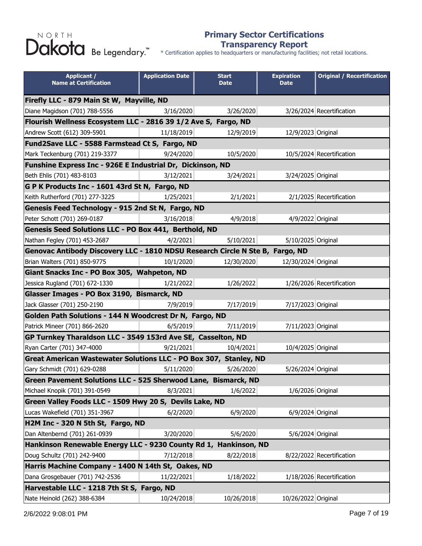#### **Primary Sector Certifications Transparency Report**

| <b>Applicant /</b><br><b>Name at Certification</b>                            | <b>Application Date</b> | <b>Start</b><br><b>Date</b> | <b>Expiration</b><br><b>Date</b> | <b>Original / Recertification</b> |  |
|-------------------------------------------------------------------------------|-------------------------|-----------------------------|----------------------------------|-----------------------------------|--|
| Firefly LLC - 879 Main St W, Mayville, ND                                     |                         |                             |                                  |                                   |  |
| Diane Magidson (701) 788-5556                                                 | 3/16/2020               | 3/26/2020                   |                                  | 3/26/2024 Recertification         |  |
| Flourish Wellness Ecosystem LLC - 2816 39 1/2 Ave S, Fargo, ND                |                         |                             |                                  |                                   |  |
| Andrew Scott (612) 309-5901                                                   | 11/18/2019              | 12/9/2019                   | 12/9/2023 Original               |                                   |  |
| Fund2Save LLC - 5588 Farmstead Ct S, Fargo, ND                                |                         |                             |                                  |                                   |  |
| Mark Teckenburg (701) 219-3377                                                | 9/24/2020               | 10/5/2020                   |                                  | 10/5/2024 Recertification         |  |
| Funshine Express Inc - 926E E Industrial Dr, Dickinson, ND                    |                         |                             |                                  |                                   |  |
| Beth Ehlis (701) 483-8103                                                     | 3/12/2021               | 3/24/2021                   | 3/24/2025 Original               |                                   |  |
| G P K Products Inc - 1601 43rd St N, Fargo, ND                                |                         |                             |                                  |                                   |  |
| Keith Rutherford (701) 277-3225                                               | 1/25/2021               | 2/1/2021                    |                                  | 2/1/2025 Recertification          |  |
| Genesis Feed Technology - 915 2nd St N, Fargo, ND                             |                         |                             |                                  |                                   |  |
| Peter Schott (701) 269-0187                                                   | 3/16/2018               | 4/9/2018                    | 4/9/2022 Original                |                                   |  |
| Genesis Seed Solutions LLC - PO Box 441, Berthold, ND                         |                         |                             |                                  |                                   |  |
| Nathan Fegley (701) 453-2687                                                  | 4/2/2021                | 5/10/2021                   | 5/10/2025 Original               |                                   |  |
| Genovac Antibody Discovery LLC - 1810 NDSU Research Circle N Ste B, Fargo, ND |                         |                             |                                  |                                   |  |
| Brian Walters (701) 850-9775                                                  | 10/1/2020               | 12/30/2020                  | 12/30/2024 Original              |                                   |  |
| Giant Snacks Inc - PO Box 305, Wahpeton, ND                                   |                         |                             |                                  |                                   |  |
| Jessica Rugland (701) 672-1330                                                | 1/21/2022               | 1/26/2022                   |                                  | 1/26/2026 Recertification         |  |
| Glasser Images - PO Box 3190, Bismarck, ND                                    |                         |                             |                                  |                                   |  |
| Jack Glasser (701) 250-2190                                                   | 7/9/2019                | 7/17/2019                   | 7/17/2023 Original               |                                   |  |
| Golden Path Solutions - 144 N Woodcrest Dr N, Fargo, ND                       |                         |                             |                                  |                                   |  |
| Patrick Mineer (701) 866-2620                                                 | 6/5/2019                | 7/11/2019                   | 7/11/2023 Original               |                                   |  |
| GP Turnkey Tharaldson LLC - 3549 153rd Ave SE, Casselton, ND                  |                         |                             |                                  |                                   |  |
| Ryan Carter (701) 347-4000                                                    | 9/21/2021               | 10/4/2021                   | 10/4/2025 Original               |                                   |  |
| Great American Wastewater Solutions LLC - PO Box 307, Stanley, ND             |                         |                             |                                  |                                   |  |
| Gary Schmidt (701) 629-0288                                                   | 5/11/2020               | 5/26/2020                   | 5/26/2024 Original               |                                   |  |
| Green Pavement Solutions LLC - 525 Sherwood Lane, Bismarck, ND                |                         |                             |                                  |                                   |  |
| Michael Knopik (701) 391-0549                                                 | 8/3/2021                | 1/6/2022                    | 1/6/2026 Original                |                                   |  |
| Green Valley Foods LLC - 1509 Hwy 20 S, Devils Lake, ND                       |                         |                             |                                  |                                   |  |
| Lucas Wakefield (701) 351-3967                                                | 6/2/2020                | 6/9/2020                    | 6/9/2024 Original                |                                   |  |
| H2M Inc - 320 N 5th St, Fargo, ND                                             |                         |                             |                                  |                                   |  |
| Dan Altenbernd (701) 261-0939                                                 | 3/20/2020               | 5/6/2020                    | 5/6/2024 Original                |                                   |  |
| Hankinson Renewable Energy LLC - 9230 County Rd 1, Hankinson, ND              |                         |                             |                                  |                                   |  |
| Doug Schultz (701) 242-9400                                                   | 7/12/2018               | 8/22/2018                   |                                  | 8/22/2022 Recertification         |  |
| Harris Machine Company - 1400 N 14th St, Oakes, ND                            |                         |                             |                                  |                                   |  |
| Dana Grosgebauer (701) 742-2536                                               | 11/22/2021              | 1/18/2022                   |                                  | 1/18/2026 Recertification         |  |
| Harvestable LLC - 1218 7th St S, Fargo, ND                                    |                         |                             |                                  |                                   |  |
| Nate Heinold (262) 388-6384                                                   | 10/24/2018              | 10/26/2018                  | 10/26/2022 Original              |                                   |  |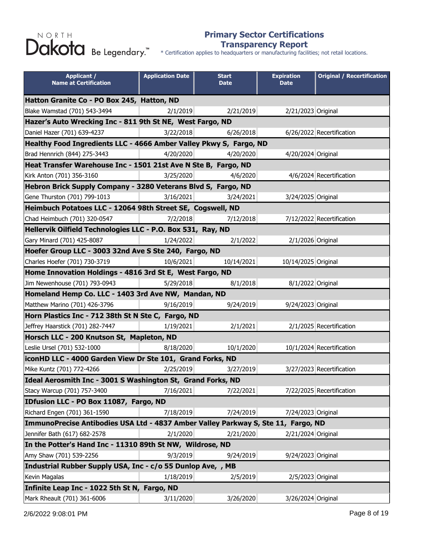#### **Primary Sector Certifications Transparency Report**

\* Certification applies to headquarters or manufacturing facilities; not retail locations.

| <b>Applicant /</b><br><b>Name at Certification</b>                                | <b>Application Date</b> | <b>Start</b><br><b>Date</b> | <b>Expiration</b><br><b>Date</b> | <b>Original / Recertification</b> |
|-----------------------------------------------------------------------------------|-------------------------|-----------------------------|----------------------------------|-----------------------------------|
| Hatton Granite Co - PO Box 245, Hatton, ND                                        |                         |                             |                                  |                                   |
| Blake Wamstad (701) 543-3494                                                      | 2/1/2019                | 2/21/2019                   | 2/21/2023 Original               |                                   |
| Hazer's Auto Wrecking Inc - 811 9th St NE, West Fargo, ND                         |                         |                             |                                  |                                   |
| Daniel Hazer (701) 639-4237                                                       | 3/22/2018               | 6/26/2018                   |                                  | 6/26/2022 Recertification         |
| Healthy Food Ingredients LLC - 4666 Amber Valley Pkwy S, Fargo, ND                |                         |                             |                                  |                                   |
| Brad Hennrich (844) 275-3443                                                      | 4/20/2020               | 4/20/2020                   | 4/20/2024 Original               |                                   |
| Heat Transfer Warehouse Inc - 1501 21st Ave N Ste B, Fargo, ND                    |                         |                             |                                  |                                   |
| Kirk Anton (701) 356-3160                                                         | 3/25/2020               | 4/6/2020                    |                                  | 4/6/2024 Recertification          |
| Hebron Brick Supply Company - 3280 Veterans Blvd S, Fargo, ND                     |                         |                             |                                  |                                   |
| Gene Thurston (701) 799-1013                                                      | 3/16/2021               | 3/24/2021                   | 3/24/2025 Original               |                                   |
| Heimbuch Potatoes LLC - 12064 98th Street SE, Cogswell, ND                        |                         |                             |                                  |                                   |
| Chad Heimbuch (701) 320-0547                                                      | 7/2/2018                | 7/12/2018                   |                                  | 7/12/2022 Recertification         |
| Hellervik Oilfield Technologies LLC - P.O. Box 531, Ray, ND                       |                         |                             |                                  |                                   |
| Gary Minard (701) 425-8087                                                        | 1/24/2022               | 2/1/2022                    | 2/1/2026 Original                |                                   |
| Hoefer Group LLC - 3003 32nd Ave S Ste 240, Fargo, ND                             |                         |                             |                                  |                                   |
| Charles Hoefer (701) 730-3719                                                     | 10/6/2021               | 10/14/2021                  | 10/14/2025 Original              |                                   |
| Home Innovation Holdings - 4816 3rd St E, West Fargo, ND                          |                         |                             |                                  |                                   |
| Jim Newenhouse (701) 793-0943                                                     | 5/29/2018               | 8/1/2018                    | 8/1/2022 Original                |                                   |
| Homeland Hemp Co. LLC - 1403 3rd Ave NW, Mandan, ND                               |                         |                             |                                  |                                   |
| Matthew Marino (701) 426-3796                                                     | 9/16/2019               | 9/24/2019                   | 9/24/2023 Original               |                                   |
| Horn Plastics Inc - 712 38th St N Ste C, Fargo, ND                                |                         |                             |                                  |                                   |
| Jeffrey Haarstick (701) 282-7447                                                  | 1/19/2021               | 2/1/2021                    |                                  | 2/1/2025 Recertification          |
| Horsch LLC - 200 Knutson St, Mapleton, ND                                         |                         |                             |                                  |                                   |
| Leslie Ursel (701) 532-1000                                                       | 8/18/2020               | 10/1/2020                   |                                  | 10/1/2024 Recertification         |
| iconHD LLC - 4000 Garden View Dr Ste 101, Grand Forks, ND                         |                         |                             |                                  |                                   |
| Mike Kuntz (701) 772-4266                                                         | 2/25/2019               | 3/27/2019                   |                                  | 3/27/2023 Recertification         |
| Ideal Aerosmith Inc - 3001 S Washington St, Grand Forks, ND                       |                         |                             |                                  |                                   |
| Stacy Warcup (701) 757-3400                                                       | 7/16/2021               | 7/22/2021                   |                                  | 7/22/2025 Recertification         |
| IDfusion LLC - PO Box 11087, Fargo, ND                                            |                         |                             |                                  |                                   |
| Richard Engen (701) 361-1590                                                      | 7/18/2019               | 7/24/2019                   | 7/24/2023 Original               |                                   |
| ImmunoPrecise Antibodies USA Ltd - 4837 Amber Valley Parkway S, Ste 11, Fargo, ND |                         |                             |                                  |                                   |
| Jennifer Bath (617) 682-2578                                                      | 2/1/2020                | 2/21/2020                   | 2/21/2024 Original               |                                   |
| In the Potter's Hand Inc - 11310 89th St NW, Wildrose, ND                         |                         |                             |                                  |                                   |
| Amy Shaw (701) 539-2256                                                           | 9/3/2019                | 9/24/2019                   | 9/24/2023 Original               |                                   |
| Industrial Rubber Supply USA, Inc - c/o 55 Dunlop Ave, , MB                       |                         |                             |                                  |                                   |
| Kevin Magalas                                                                     | 1/18/2019               | 2/5/2019                    | 2/5/2023 Original                |                                   |
| Infinite Leap Inc - 1022 5th St N, Fargo, ND                                      |                         |                             |                                  |                                   |
| Mark Rheault (701) 361-6006                                                       | 3/11/2020               | 3/26/2020                   | 3/26/2024 Original               |                                   |

2/6/2022 9:08:01 PM Page 8 of 19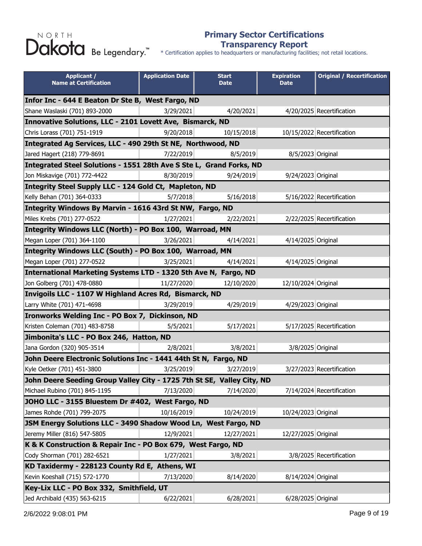#### **Primary Sector Certifications Transparency Report**

\* Certification applies to headquarters or manufacturing facilities; not retail locations.

| <b>Applicant /</b><br><b>Name at Certification</b>                     | <b>Application Date</b> | <b>Start</b><br><b>Date</b> | <b>Expiration</b><br><b>Date</b> | <b>Original / Recertification</b> |
|------------------------------------------------------------------------|-------------------------|-----------------------------|----------------------------------|-----------------------------------|
| Infor Inc - 644 E Beaton Dr Ste B, West Fargo, ND                      |                         |                             |                                  |                                   |
| Shane Waslaski (701) 893-2000                                          | 3/29/2021               | 4/20/2021                   |                                  | 4/20/2025 Recertification         |
| Innovative Solutions, LLC - 2101 Lovett Ave, Bismarck, ND              |                         |                             |                                  |                                   |
| Chris Lorass (701) 751-1919                                            | 9/20/2018               | 10/15/2018                  |                                  | 10/15/2022 Recertification        |
| Integrated Ag Services, LLC - 490 29th St NE, Northwood, ND            |                         |                             |                                  |                                   |
| Jared Hagert (218) 779-8691                                            | 7/22/2019               | 8/5/2019                    | 8/5/2023 Original                |                                   |
| Integrated Steel Solutions - 1551 28th Ave S Ste L, Grand Forks, ND    |                         |                             |                                  |                                   |
| Jon Miskavige (701) 772-4422                                           | 8/30/2019               | 9/24/2019                   | 9/24/2023 Original               |                                   |
| Integrity Steel Supply LLC - 124 Gold Ct, Mapleton, ND                 |                         |                             |                                  |                                   |
| Kelly Behan (701) 364-0333                                             | 5/7/2018                | 5/16/2018                   |                                  | 5/16/2022 Recertification         |
| Integrity Windows By Marvin - 1616 43rd St NW, Fargo, ND               |                         |                             |                                  |                                   |
| Miles Krebs (701) 277-0522                                             | 1/27/2021               | 2/22/2021                   |                                  | 2/22/2025 Recertification         |
| Integrity Windows LLC (North) - PO Box 100, Warroad, MN                |                         |                             |                                  |                                   |
| Megan Loper (701) 364-1100                                             | 3/26/2021               | 4/14/2021                   | 4/14/2025 Original               |                                   |
| Integrity Windows LLC (South) - PO Box 100, Warroad, MN                |                         |                             |                                  |                                   |
| Megan Loper (701) 277-0522                                             | 3/25/2021               | 4/14/2021                   | 4/14/2025 Original               |                                   |
| International Marketing Systems LTD - 1320 5th Ave N, Fargo, ND        |                         |                             |                                  |                                   |
| Jon Golberg (701) 478-0880                                             | 11/27/2020              | 12/10/2020                  | 12/10/2024 Original              |                                   |
| Invigoils LLC - 1107 W Highland Acres Rd, Bismarck, ND                 |                         |                             |                                  |                                   |
| Larry White (701) 471-4698                                             | 3/29/2019               | 4/29/2019                   | 4/29/2023 Original               |                                   |
| Ironworks Welding Inc - PO Box 7, Dickinson, ND                        |                         |                             |                                  |                                   |
| Kristen Coleman (701) 483-8758                                         | 5/5/2021                | 5/17/2021                   |                                  | 5/17/2025 Recertification         |
| Jimbonita's LLC - PO Box 246, Hatton, ND                               |                         |                             |                                  |                                   |
| Jana Gordon (320) 905-3514                                             | 2/8/2021                | 3/8/2021                    | 3/8/2025 Original                |                                   |
| John Deere Electronic Solutions Inc - 1441 44th St N, Fargo, ND        |                         |                             |                                  |                                   |
| Kyle Oetker (701) 451-3800                                             | 3/25/2019               | 3/27/2019                   |                                  | 3/27/2023 Recertification         |
| John Deere Seeding Group Valley City - 1725 7th St SE, Valley City, ND |                         |                             |                                  |                                   |
| Michael Rubino (701) 845-1195                                          | 7/13/2020               | 7/14/2020                   |                                  | 7/14/2024 Recertification         |
| JOHO LLC - 3155 Bluestem Dr #402, West Fargo, ND                       |                         |                             |                                  |                                   |
| James Rohde (701) 799-2075                                             | 10/16/2019              | 10/24/2019                  | 10/24/2023 Original              |                                   |
| JSM Energy Solutions LLC - 3490 Shadow Wood Ln, West Fargo, ND         |                         |                             |                                  |                                   |
| Jeremy Miller (816) 547-5805                                           | 12/9/2021               | 12/27/2021                  | 12/27/2025 Original              |                                   |
| K & K Construction & Repair Inc - PO Box 679, West Fargo, ND           |                         |                             |                                  |                                   |
| Cody Shorman (701) 282-6521                                            | 1/27/2021               | 3/8/2021                    |                                  | 3/8/2025 Recertification          |
| KD Taxidermy - 228123 County Rd E, Athens, WI                          |                         |                             |                                  |                                   |
| Kevin Koeshall (715) 572-1770                                          | 7/13/2020               | 8/14/2020                   | 8/14/2024 Original               |                                   |
| Key-Lix LLC - PO Box 332, Smithfield, UT                               |                         |                             |                                  |                                   |
| Jed Archibald (435) 563-6215                                           | 6/22/2021               | 6/28/2021                   | 6/28/2025 Original               |                                   |

2/6/2022 9:08:01 PM Page 9 of 19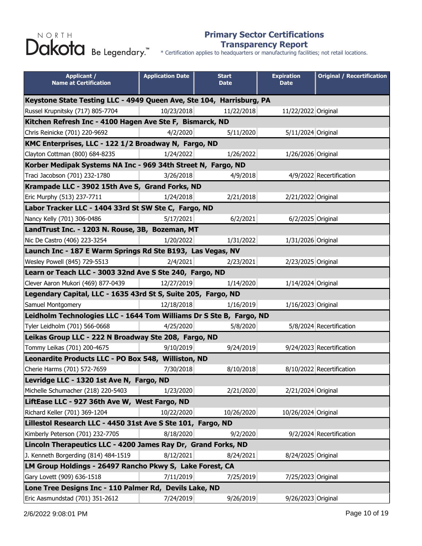#### **Primary Sector Certifications Transparency Report**

| <b>Applicant /</b><br><b>Name at Certification</b>                   | <b>Application Date</b> | <b>Start</b><br><b>Date</b> | <b>Expiration</b><br><b>Date</b> | <b>Original / Recertification</b> |
|----------------------------------------------------------------------|-------------------------|-----------------------------|----------------------------------|-----------------------------------|
| Keystone State Testing LLC - 4949 Queen Ave, Ste 104, Harrisburg, PA |                         |                             |                                  |                                   |
| Russel Krupnitsky (717) 805-7704                                     | 10/23/2018              | 11/22/2018                  | 11/22/2022 Original              |                                   |
| Kitchen Refresh Inc - 4100 Hagen Ave Ste F, Bismarck, ND             |                         |                             |                                  |                                   |
| Chris Reinicke (701) 220-9692                                        | 4/2/2020                | 5/11/2020                   | 5/11/2024 Original               |                                   |
| KMC Enterprises, LLC - 122 1/2 Broadway N, Fargo, ND                 |                         |                             |                                  |                                   |
| Clayton Cottman (800) 684-8235                                       | 1/24/2022               | 1/26/2022                   | 1/26/2026 Original               |                                   |
| Korber Medipak Systems NA Inc - 969 34th Street N, Fargo, ND         |                         |                             |                                  |                                   |
| Traci Jacobson (701) 232-1780                                        | 3/26/2018               | 4/9/2018                    |                                  | 4/9/2022 Recertification          |
| Krampade LLC - 3902 15th Ave S, Grand Forks, ND                      |                         |                             |                                  |                                   |
| Eric Murphy (513) 237-7711                                           | 1/24/2018               | 2/21/2018                   | 2/21/2022 Original               |                                   |
| Labor Tracker LLC - 1404 33rd St SW Ste C, Fargo, ND                 |                         |                             |                                  |                                   |
| Nancy Kelly (701) 306-0486                                           | 5/17/2021               | 6/2/2021                    | 6/2/2025 Original                |                                   |
| LandTrust Inc. - 1203 N. Rouse, 3B, Bozeman, MT                      |                         |                             |                                  |                                   |
| Nic De Castro (406) 223-3254                                         | 1/20/2022               | 1/31/2022                   | 1/31/2026 Original               |                                   |
| Launch Inc - 187 E Warm Springs Rd Ste B193, Las Vegas, NV           |                         |                             |                                  |                                   |
| Wesley Powell (845) 729-5513                                         | 2/4/2021                | 2/23/2021                   | 2/23/2025 Original               |                                   |
| Learn or Teach LLC - 3003 32nd Ave S Ste 240, Fargo, ND              |                         |                             |                                  |                                   |
| Clever Aaron Mukori (469) 877-0439                                   | 12/27/2019              | 1/14/2020                   | 1/14/2024 Original               |                                   |
| Legendary Capital, LLC - 1635 43rd St S, Suite 205, Fargo, ND        |                         |                             |                                  |                                   |
| Samuel Montgomery                                                    | 12/18/2018              | 1/16/2019                   | 1/16/2023 Original               |                                   |
| Leidholm Technologies LLC - 1644 Tom Williams Dr S Ste B, Fargo, ND  |                         |                             |                                  |                                   |
| Tyler Leidholm (701) 566-0668                                        | 4/25/2020               | 5/8/2020                    |                                  | 5/8/2024 Recertification          |
| Leikas Group LLC - 222 N Broadway Ste 208, Fargo, ND                 |                         |                             |                                  |                                   |
| Tommy Leikas (701) 200-4675                                          | 9/10/2019               | 9/24/2019                   |                                  | 9/24/2023 Recertification         |
| Leonardite Products LLC - PO Box 548, Williston, ND                  |                         |                             |                                  |                                   |
| Cherie Harms (701) 572-7659                                          | 7/30/2018               | 8/10/2018                   |                                  | 8/10/2022 Recertification         |
| Levridge LLC - 1320 1st Ave N, Fargo, ND                             |                         |                             |                                  |                                   |
| Michelle Schumacher (218) 220-5403                                   | 1/23/2020               | 2/21/2020                   | 2/21/2024 Original               |                                   |
| LiftEase LLC - 927 36th Ave W, West Fargo, ND                        |                         |                             |                                  |                                   |
| Richard Keller (701) 369-1204                                        | 10/22/2020              | 10/26/2020                  | 10/26/2024 Original              |                                   |
| Lillestol Research LLC - 4450 31st Ave S Ste 101, Fargo, ND          |                         |                             |                                  |                                   |
| Kimberly Peterson (701) 232-7705                                     | 8/18/2020               | 9/2/2020                    |                                  | 9/2/2024 Recertification          |
| Lincoln Therapeutics LLC - 4200 James Ray Dr, Grand Forks, ND        |                         |                             |                                  |                                   |
| J. Kenneth Borgerding (814) 484-1519                                 | 8/12/2021               | 8/24/2021                   | 8/24/2025 Original               |                                   |
| LM Group Holdings - 26497 Rancho Pkwy S, Lake Forest, CA             |                         |                             |                                  |                                   |
| Gary Lovett (909) 636-1518                                           | 7/11/2019               | 7/25/2019                   | 7/25/2023 Original               |                                   |
| Lone Tree Designs Inc - 110 Palmer Rd, Devils Lake, ND               |                         |                             |                                  |                                   |
| Eric Aasmundstad (701) 351-2612                                      | 7/24/2019               | 9/26/2019                   | 9/26/2023 Original               |                                   |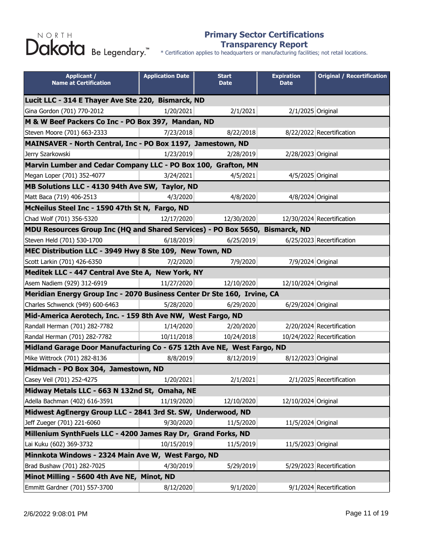#### **Primary Sector Certifications Transparency Report**

| <b>Applicant /</b><br><b>Name at Certification</b>                           | <b>Application Date</b> | <b>Start</b><br><b>Date</b> | <b>Expiration</b><br><b>Date</b> | <b>Original / Recertification</b> |
|------------------------------------------------------------------------------|-------------------------|-----------------------------|----------------------------------|-----------------------------------|
| Lucit LLC - 314 E Thayer Ave Ste 220, Bismarck, ND                           |                         |                             |                                  |                                   |
| Gina Gordon (701) 770-2012                                                   | 1/20/2021               | 2/1/2021                    | 2/1/2025 Original                |                                   |
| M & W Beef Packers Co Inc - PO Box 397, Mandan, ND                           |                         |                             |                                  |                                   |
| Steven Moore (701) 663-2333                                                  | 7/23/2018               | 8/22/2018                   |                                  | 8/22/2022 Recertification         |
| MAINSAVER - North Central, Inc - PO Box 1197, Jamestown, ND                  |                         |                             |                                  |                                   |
| Jerry Szarkowski                                                             | 1/23/2019               | 2/28/2019                   | 2/28/2023 Original               |                                   |
| Marvin Lumber and Cedar Company LLC - PO Box 100, Grafton, MN                |                         |                             |                                  |                                   |
| Megan Loper (701) 352-4077                                                   | 3/24/2021               | 4/5/2021                    | 4/5/2025 Original                |                                   |
| MB Solutions LLC - 4130 94th Ave SW, Taylor, ND                              |                         |                             |                                  |                                   |
| Matt Baca (719) 406-2513                                                     | 4/3/2020                | 4/8/2020                    | 4/8/2024 Original                |                                   |
| McNeilus Steel Inc - 1590 47th St N, Fargo, ND                               |                         |                             |                                  |                                   |
| Chad Wolf (701) 356-5320                                                     | 12/17/2020              | 12/30/2020                  |                                  | 12/30/2024 Recertification        |
| MDU Resources Group Inc (HQ and Shared Services) - PO Box 5650, Bismarck, ND |                         |                             |                                  |                                   |
| Steven Held (701) 530-1700                                                   | 6/18/2019               | 6/25/2019                   |                                  | 6/25/2023 Recertification         |
| MEC Distribution LLC - 3949 Hwy 8 Ste 109, New Town, ND                      |                         |                             |                                  |                                   |
| Scott Larkin (701) 426-6350                                                  | 7/2/2020                | 7/9/2020                    | 7/9/2024 Original                |                                   |
| Meditek LLC - 447 Central Ave Ste A, New York, NY                            |                         |                             |                                  |                                   |
| Asem Nadiem (929) 312-6919                                                   | 11/27/2020              | 12/10/2020                  | 12/10/2024 Original              |                                   |
| Meridian Energy Group Inc - 2070 Business Center Dr Ste 160, Irvine, CA      |                         |                             |                                  |                                   |
| Charles Schwenck (949) 600-6463                                              | 5/28/2020               | 6/29/2020                   | 6/29/2024 Original               |                                   |
| Mid-America Aerotech, Inc. - 159 8th Ave NW, West Fargo, ND                  |                         |                             |                                  |                                   |
| Randall Herman (701) 282-7782                                                | 1/14/2020               | 2/20/2020                   |                                  | 2/20/2024 Recertification         |
| Randal Herman (701) 282-7782                                                 | 10/11/2018              | 10/24/2018                  |                                  | 10/24/2022 Recertification        |
| Midland Garage Door Manufacturing Co - 675 12th Ave NE, West Fargo, ND       |                         |                             |                                  |                                   |
| Mike Wittrock (701) 282-8136                                                 | 8/8/2019                | 8/12/2019                   | 8/12/2023 Original               |                                   |
| Midmach - PO Box 304, Jamestown, ND                                          |                         |                             |                                  |                                   |
| Casey Veil (701) 252-4275                                                    | 1/20/2021               | 2/1/2021                    |                                  | 2/1/2025 Recertification          |
| Midway Metals LLC - 663 N 132nd St, Omaha, NE                                |                         |                             |                                  |                                   |
| Adella Bachman (402) 616-3591                                                | 11/19/2020              | 12/10/2020                  | 12/10/2024 Original              |                                   |
| Midwest AgEnergy Group LLC - 2841 3rd St. SW, Underwood, ND                  |                         |                             |                                  |                                   |
| Jeff Zueger (701) 221-6060                                                   | 9/30/2020               | 11/5/2020                   | 11/5/2024 Original               |                                   |
| Millenium SynthFuels LLC - 4200 James Ray Dr, Grand Forks, ND                |                         |                             |                                  |                                   |
| Lai Kuku (602) 369-3732                                                      | 10/15/2019              | 11/5/2019                   | 11/5/2023 Original               |                                   |
| Minnkota Windows - 2324 Main Ave W, West Fargo, ND                           |                         |                             |                                  |                                   |
| Brad Bushaw (701) 282-7025                                                   | 4/30/2019               | 5/29/2019                   |                                  | 5/29/2023 Recertification         |
| Minot Milling - 5600 4th Ave NE, Minot, ND                                   |                         |                             |                                  |                                   |
| Emmitt Gardner (701) 557-3700                                                | 8/12/2020               | 9/1/2020                    |                                  | 9/1/2024 Recertification          |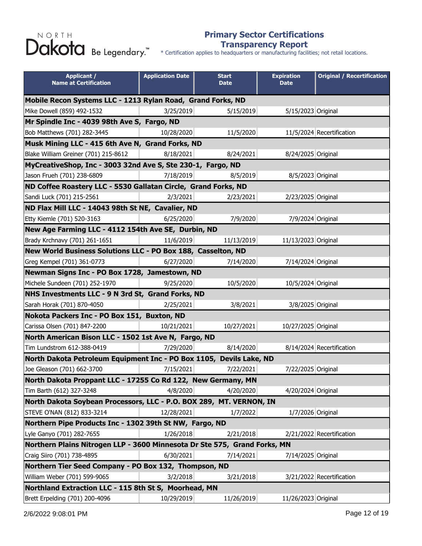#### **Primary Sector Certifications Transparency Report**

| <b>Applicant /</b><br><b>Name at Certification</b>                        | <b>Application Date</b> | <b>Start</b><br><b>Date</b> | <b>Expiration</b><br><b>Date</b> | <b>Original / Recertification</b> |
|---------------------------------------------------------------------------|-------------------------|-----------------------------|----------------------------------|-----------------------------------|
| Mobile Recon Systems LLC - 1213 Rylan Road, Grand Forks, ND               |                         |                             |                                  |                                   |
| Mike Dowell (859) 492-1532                                                | 3/25/2019               | 5/15/2019                   | 5/15/2023 Original               |                                   |
| Mr Spindle Inc - 4039 98th Ave S, Fargo, ND                               |                         |                             |                                  |                                   |
| Bob Matthews (701) 282-3445                                               | 10/28/2020              | 11/5/2020                   |                                  | 11/5/2024 Recertification         |
| Musk Mining LLC - 415 6th Ave N, Grand Forks, ND                          |                         |                             |                                  |                                   |
| Blake William Greiner (701) 215-8612                                      | 8/18/2021               | 8/24/2021                   | 8/24/2025 Original               |                                   |
| MyCreativeShop, Inc - 3003 32nd Ave S, Ste 230-1, Fargo, ND               |                         |                             |                                  |                                   |
| Jason Frueh (701) 238-6809                                                | 7/18/2019               | 8/5/2019                    | 8/5/2023 Original                |                                   |
| ND Coffee Roastery LLC - 5530 Gallatan Circle, Grand Forks, ND            |                         |                             |                                  |                                   |
| Sandi Luck (701) 215-2561                                                 | 2/3/2021                | 2/23/2021                   | 2/23/2025 Original               |                                   |
| ND Flax Mill LLC - 14043 98th St NE, Cavalier, ND                         |                         |                             |                                  |                                   |
| Etty Kiemle (701) 520-3163                                                | 6/25/2020               | 7/9/2020                    | 7/9/2024 Original                |                                   |
| New Age Farming LLC - 4112 154th Ave SE, Durbin, ND                       |                         |                             |                                  |                                   |
| Brady Krchnavy (701) 261-1651                                             | 11/6/2019               | 11/13/2019                  | 11/13/2023 Original              |                                   |
| New World Business Solutions LLC - PO Box 188, Casselton, ND              |                         |                             |                                  |                                   |
| Greg Kempel (701) 361-0773                                                | 6/27/2020               | 7/14/2020                   | 7/14/2024 Original               |                                   |
| Newman Signs Inc - PO Box 1728, Jamestown, ND                             |                         |                             |                                  |                                   |
| Michele Sundeen (701) 252-1970                                            | 9/25/2020               | 10/5/2020                   | 10/5/2024 Original               |                                   |
| NHS Investments LLC - 9 N 3rd St, Grand Forks, ND                         |                         |                             |                                  |                                   |
| Sarah Horak (701) 870-4050                                                | 2/25/2021               | 3/8/2021                    | 3/8/2025 Original                |                                   |
| Nokota Packers Inc - PO Box 151, Buxton, ND                               |                         |                             |                                  |                                   |
| Carissa Olsen (701) 847-2200                                              | 10/21/2021              | 10/27/2021                  | 10/27/2025 Original              |                                   |
| North American Bison LLC - 1502 1st Ave N, Fargo, ND                      |                         |                             |                                  |                                   |
| Tim Lundstrom 612-388-0419                                                | 7/29/2020               | 8/14/2020                   |                                  | 8/14/2024 Recertification         |
| North Dakota Petroleum Equipment Inc - PO Box 1105, Devils Lake, ND       |                         |                             |                                  |                                   |
| Joe Gleason (701) 662-3700                                                | 7/15/2021               | 7/22/2021                   | 7/22/2025 Original               |                                   |
| North Dakota Proppant LLC - 17255 Co Rd 122, New Germany, MN              |                         |                             |                                  |                                   |
| Tim Barth (612) 327-3248                                                  | 4/8/2020                | 4/20/2020                   | 4/20/2024 Original               |                                   |
| North Dakota Soybean Processors, LLC - P.O. BOX 289, MT. VERNON, IN       |                         |                             |                                  |                                   |
| STEVE O'NAN (812) 833-3214                                                | 12/28/2021              | 1/7/2022                    | 1/7/2026 Original                |                                   |
| Northern Pipe Products Inc - 1302 39th St NW, Fargo, ND                   |                         |                             |                                  |                                   |
| Lyle Ganyo (701) 282-7655                                                 | 1/26/2018               | 2/21/2018                   |                                  | 2/21/2022 Recertification         |
| Northern Plains Nitrogen LLP - 3600 Minnesota Dr Ste 575, Grand Forks, MN |                         |                             |                                  |                                   |
| Craig Siiro (701) 738-4895                                                | 6/30/2021               | 7/14/2021                   | 7/14/2025 Original               |                                   |
| Northern Tier Seed Company - PO Box 132, Thompson, ND                     |                         |                             |                                  |                                   |
| William Weber (701) 599-9065                                              | 3/2/2018                | 3/21/2018                   |                                  | 3/21/2022 Recertification         |
| Northland Extraction LLC - 115 8th St S, Moorhead, MN                     |                         |                             |                                  |                                   |
| Brett Erpelding (701) 200-4096                                            | 10/29/2019              | 11/26/2019                  | 11/26/2023 Original              |                                   |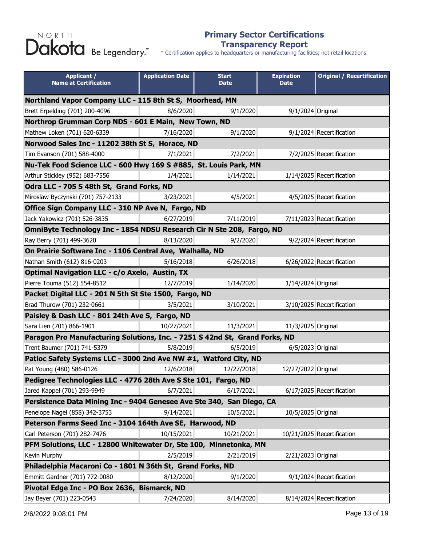#### **Primary Sector Certifications Transparency Report**

| <b>Applicant /</b><br><b>Name at Certification</b>                          | <b>Application Date</b> | <b>Start</b><br><b>Date</b> | <b>Expiration</b><br><b>Date</b> | <b>Original / Recertification</b> |  |
|-----------------------------------------------------------------------------|-------------------------|-----------------------------|----------------------------------|-----------------------------------|--|
| Northland Vapor Company LLC - 115 8th St S, Moorhead, MN                    |                         |                             |                                  |                                   |  |
| Brett Erpelding (701) 200-4096                                              | 8/6/2020                | 9/1/2020                    | 9/1/2024 Original                |                                   |  |
| Northrop Grumman Corp NDS - 601 E Main, New Town, ND                        |                         |                             |                                  |                                   |  |
| Mathew Loken (701) 620-6339                                                 | 7/16/2020               | 9/1/2020                    |                                  | 9/1/2024 Recertification          |  |
| Norwood Sales Inc - 11202 38th St S, Horace, ND                             |                         |                             |                                  |                                   |  |
| Tim Evanson (701) 588-4000                                                  | 7/1/2021                | 7/2/2021                    |                                  | 7/2/2025 Recertification          |  |
| Nu-Tek Food Science LLC - 600 Hwy 169 S #885, St. Louis Park, MN            |                         |                             |                                  |                                   |  |
| Arthur Stickley (952) 683-7556                                              | 1/4/2021                | 1/14/2021                   |                                  | 1/14/2025 Recertification         |  |
| Odra LLC - 705 S 48th St, Grand Forks, ND                                   |                         |                             |                                  |                                   |  |
| Miroslaw Byczynski (701) 757-2133                                           | 3/23/2021               | 4/5/2021                    |                                  | 4/5/2025 Recertification          |  |
| Office Sign Company LLC - 310 NP Ave N, Fargo, ND                           |                         |                             |                                  |                                   |  |
| Jack Yakowicz (701) 526-3835                                                | 6/27/2019               | 7/11/2019                   |                                  | 7/11/2023 Recertification         |  |
| OmniByte Technology Inc - 1854 NDSU Research Cir N Ste 208, Fargo, ND       |                         |                             |                                  |                                   |  |
| Ray Berry (701) 499-3620                                                    | 8/13/2020               | 9/2/2020                    |                                  | 9/2/2024 Recertification          |  |
| On Prairie Software Inc - 1106 Central Ave, Walhalla, ND                    |                         |                             |                                  |                                   |  |
| Nathan Smith (612) 816-0203                                                 | 5/16/2018               | 6/26/2018                   |                                  | 6/26/2022 Recertification         |  |
| Optimal Navigation LLC - c/o Axelo, Austin, TX                              |                         |                             |                                  |                                   |  |
| Pierre Touma (512) 554-8512                                                 | 12/7/2019               | 1/14/2020                   | 1/14/2024 Original               |                                   |  |
| Packet Digital LLC - 201 N 5th St Ste 1500, Fargo, ND                       |                         |                             |                                  |                                   |  |
| Brad Thurow (701) 232-0661                                                  | 3/5/2021                | 3/10/2021                   |                                  | 3/10/2025 Recertification         |  |
| Paisley & Dash LLC - 801 24th Ave S, Fargo, ND                              |                         |                             |                                  |                                   |  |
| Sara Lien (701) 866-1901                                                    | 10/27/2021              | 11/3/2021                   | 11/3/2025 Original               |                                   |  |
| Paragon Pro Manufacturing Solutions, Inc. - 7251 S 42nd St, Grand Forks, ND |                         |                             |                                  |                                   |  |
| Trent Baumer (701) 741-5379                                                 | 5/8/2019                | 6/5/2019                    | 6/5/2023 Original                |                                   |  |
| Patloc Safety Systems LLC - 3000 2nd Ave NW #1, Watford City, ND            |                         |                             |                                  |                                   |  |
| Pat Young (480) 586-0126                                                    | 12/6/2018               | 12/27/2018                  | 12/27/2022 Original              |                                   |  |
| Pedigree Technologies LLC - 4776 28th Ave S Ste 101, Fargo, ND              |                         |                             |                                  |                                   |  |
| Jared Kappel (701) 293-9949                                                 | 6/7/2021                | 6/17/2021                   |                                  | 6/17/2025 Recertification         |  |
| Persistence Data Mining Inc - 9404 Genesee Ave Ste 340, San Diego, CA       |                         |                             |                                  |                                   |  |
| Penelope Nagel (858) 342-3753                                               | 9/14/2021               | 10/5/2021                   | 10/5/2025 Original               |                                   |  |
| Peterson Farms Seed Inc - 3104 164th Ave SE, Harwood, ND                    |                         |                             |                                  |                                   |  |
| Carl Peterson (701) 282-7476                                                | 10/15/2021              | 10/21/2021                  |                                  | 10/21/2025 Recertification        |  |
| PFM Solutions, LLC - 12800 Whitewater Dr, Ste 100, Minnetonka, MN           |                         |                             |                                  |                                   |  |
| Kevin Murphy                                                                | 2/5/2019                | 2/21/2019                   | 2/21/2023 Original               |                                   |  |
| Philadelphia Macaroni Co - 1801 N 36th St, Grand Forks, ND                  |                         |                             |                                  |                                   |  |
| Emmitt Gardner (701) 772-0080                                               | 8/12/2020               | 9/1/2020                    |                                  | 9/1/2024 Recertification          |  |
| Pivotal Edge Inc - PO Box 2636, Bismarck, ND                                |                         |                             |                                  |                                   |  |
| Jay Beyer (701) 223-0543                                                    | 7/24/2020               | 8/14/2020                   |                                  | 8/14/2024 Recertification         |  |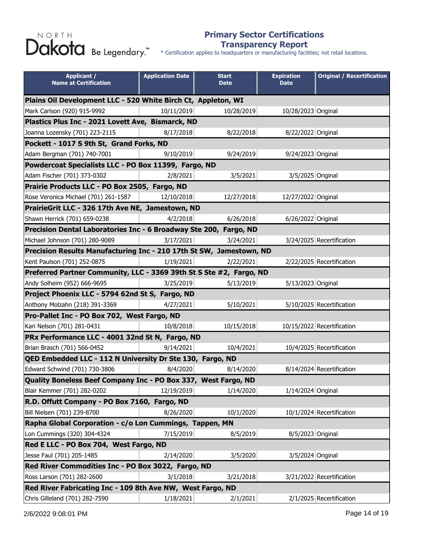#### **Primary Sector Certifications Transparency Report**

\* Certification applies to headquarters or manufacturing facilities; not retail locations.

| <b>Applicant /</b><br><b>Name at Certification</b>                  | <b>Application Date</b>                                    | <b>Start</b><br><b>Date</b> | <b>Expiration</b><br><b>Date</b> | <b>Original / Recertification</b> |  |
|---------------------------------------------------------------------|------------------------------------------------------------|-----------------------------|----------------------------------|-----------------------------------|--|
| Plains Oil Development LLC - 520 White Birch Ct, Appleton, WI       |                                                            |                             |                                  |                                   |  |
| Mark Carlson (920) 915-9992                                         | 10/11/2019                                                 | 10/28/2019                  | 10/28/2023 Original              |                                   |  |
| Plastics Plus Inc - 2021 Lovett Ave, Bismarck, ND                   |                                                            |                             |                                  |                                   |  |
| Joanna Lozensky (701) 223-2115                                      | 8/17/2018                                                  | 8/22/2018                   | 8/22/2022 Original               |                                   |  |
| Pockett - 1017 S 9th St, Grand Forks, ND                            |                                                            |                             |                                  |                                   |  |
| Adam Bergman (701) 740-7001                                         | 9/10/2019                                                  | 9/24/2019                   | 9/24/2023 Original               |                                   |  |
| Powdercoat Specialists LLC - PO Box 11399, Fargo, ND                |                                                            |                             |                                  |                                   |  |
| Adam Fischer (701) 373-0302                                         | 2/8/2021                                                   | 3/5/2021                    | 3/5/2025 Original                |                                   |  |
| Prairie Products LLC - PO Box 2505, Fargo, ND                       |                                                            |                             |                                  |                                   |  |
| Rose Veronica Michael (701) 261-1587                                | 12/10/2018                                                 | 12/27/2018                  | 12/27/2022 Original              |                                   |  |
| PrairieGrit LLC - 326 17th Ave NE, Jamestown, ND                    |                                                            |                             |                                  |                                   |  |
| Shawn Herrick (701) 659-0238                                        | 4/2/2018                                                   | 6/26/2018                   | 6/26/2022 Original               |                                   |  |
| Precision Dental Laboratories Inc - 6 Broadway Ste 200, Fargo, ND   |                                                            |                             |                                  |                                   |  |
| Michael Johnson (701) 280-9089                                      | 3/17/2021                                                  | 3/24/2021                   |                                  | 3/24/2025 Recertification         |  |
| Precision Results Manufacturing Inc - 210 17th St SW, Jamestown, ND |                                                            |                             |                                  |                                   |  |
| Kent Paulson (701) 252-0875                                         | 1/19/2021                                                  | 2/22/2021                   |                                  | 2/22/2025 Recertification         |  |
| Preferred Partner Community, LLC - 3369 39th St S Ste #2, Fargo, ND |                                                            |                             |                                  |                                   |  |
| Andy Solheim (952) 666-9695                                         | 3/25/2019                                                  | 5/13/2019                   | 5/13/2023 Original               |                                   |  |
| Project Phoenix LLC - 5794 62nd St S, Fargo, ND                     |                                                            |                             |                                  |                                   |  |
| Anthony Molzahn (218) 391-3369                                      | 4/27/2021                                                  | 5/10/2021                   |                                  | 5/10/2025 Recertification         |  |
| Pro-Pallet Inc - PO Box 702, West Fargo, ND                         |                                                            |                             |                                  |                                   |  |
| Kari Nelson (701) 281-0431                                          | 10/8/2018                                                  | 10/15/2018                  |                                  | 10/15/2022 Recertification        |  |
| PRx Performance LLC - 4001 32nd St N, Fargo, ND                     |                                                            |                             |                                  |                                   |  |
| Brian Brasch (701) 566-0452                                         | 9/14/2021                                                  | 10/4/2021                   |                                  | 10/4/2025 Recertification         |  |
| QED Embedded LLC - 112 N University Dr Ste 130, Fargo, ND           |                                                            |                             |                                  |                                   |  |
| Edward Schwind (701) 730-3806                                       | 8/4/2020                                                   | 8/14/2020                   |                                  | 8/14/2024 Recertification         |  |
| Quality Boneless Beef Company Inc - PO Box 337, West Fargo, ND      |                                                            |                             |                                  |                                   |  |
| Blair Kemmer (701) 282-0202                                         | 12/19/2019                                                 | 1/14/2020                   | 1/14/2024 Original               |                                   |  |
| R.D. Offutt Company - PO Box 7160, Fargo, ND                        |                                                            |                             |                                  |                                   |  |
| Bill Nielsen (701) 239-8700                                         | 8/26/2020                                                  | 10/1/2020                   |                                  | 10/1/2024 Recertification         |  |
| Rapha Global Corporation - c/o Lon Cummings, Tappen, MN             |                                                            |                             |                                  |                                   |  |
| Lon Cummings (320) 304-4324                                         | 7/15/2019                                                  | 8/5/2019                    | 8/5/2023 Original                |                                   |  |
| Red E LLC - PO Box 704, West Fargo, ND                              |                                                            |                             |                                  |                                   |  |
| Jesse Faul (701) 205-1485                                           | 2/14/2020                                                  | 3/5/2020                    | 3/5/2024 Original                |                                   |  |
| Red River Commodities Inc - PO Box 3022, Fargo, ND                  |                                                            |                             |                                  |                                   |  |
| Ross Larson (701) 282-2600                                          | 3/1/2018                                                   | 3/21/2018                   |                                  | 3/21/2022 Recertification         |  |
|                                                                     | Red River Fabricating Inc - 109 8th Ave NW, West Fargo, ND |                             |                                  |                                   |  |
| Chris Gilleland (701) 282-7590                                      | 1/18/2021                                                  | 2/1/2021                    |                                  | 2/1/2025 Recertification          |  |

2/6/2022 9:08:01 PM Page 14 of 19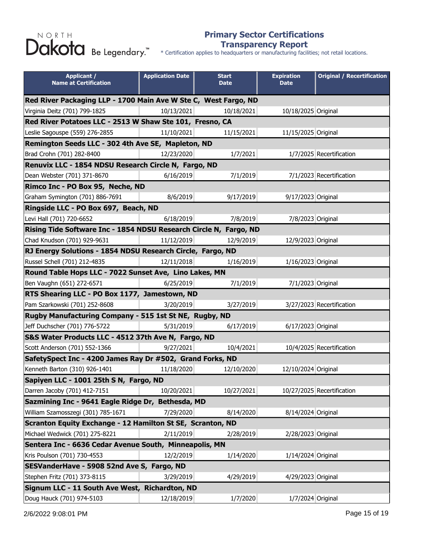#### **Primary Sector Certifications Transparency Report**

| <b>Applicant /</b><br><b>Name at Certification</b>                | <b>Application Date</b> | <b>Start</b><br><b>Date</b> | <b>Expiration</b><br><b>Date</b> | <b>Original / Recertification</b> |  |
|-------------------------------------------------------------------|-------------------------|-----------------------------|----------------------------------|-----------------------------------|--|
| Red River Packaging LLP - 1700 Main Ave W Ste C, West Fargo, ND   |                         |                             |                                  |                                   |  |
| Virginia Deitz (701) 799-1825                                     | 10/13/2021              | 10/18/2021                  | 10/18/2025 Original              |                                   |  |
| Red River Potatoes LLC - 2513 W Shaw Ste 101, Fresno, CA          |                         |                             |                                  |                                   |  |
| Leslie Sagouspe (559) 276-2855                                    | 11/10/2021              | 11/15/2021                  | 11/15/2025 Original              |                                   |  |
| Remington Seeds LLC - 302 4th Ave SE, Mapleton, ND                |                         |                             |                                  |                                   |  |
| Brad Crohn (701) 282-8400                                         | 12/23/2020              | 1/7/2021                    |                                  | 1/7/2025 Recertification          |  |
| Renuvix LLC - 1854 NDSU Research Circle N, Fargo, ND              |                         |                             |                                  |                                   |  |
| Dean Webster (701) 371-8670                                       | 6/16/2019               | 7/1/2019                    |                                  | 7/1/2023 Recertification          |  |
| Rimco Inc - PO Box 95, Neche, ND                                  |                         |                             |                                  |                                   |  |
| Graham Symington (701) 886-7691                                   | 8/6/2019                | 9/17/2019                   | 9/17/2023 Original               |                                   |  |
| Ringside LLC - PO Box 697, Beach, ND                              |                         |                             |                                  |                                   |  |
| Levi Hall (701) 720-6652                                          | 6/18/2019               | 7/8/2019                    | 7/8/2023 Original                |                                   |  |
| Rising Tide Software Inc - 1854 NDSU Research Circle N, Fargo, ND |                         |                             |                                  |                                   |  |
| Chad Knudson (701) 929-9631                                       | 11/12/2019              | 12/9/2019                   | 12/9/2023 Original               |                                   |  |
| RJ Energy Solutions - 1854 NDSU Research Circle, Fargo, ND        |                         |                             |                                  |                                   |  |
| Russel Schell (701) 212-4835                                      | 12/11/2018              | 1/16/2019                   | 1/16/2023 Original               |                                   |  |
| Round Table Hops LLC - 7022 Sunset Ave, Lino Lakes, MN            |                         |                             |                                  |                                   |  |
| Ben Vaughn (651) 272-6571                                         | 6/25/2019               | 7/1/2019                    | 7/1/2023 Original                |                                   |  |
| RTS Shearing LLC - PO Box 1177, Jamestown, ND                     |                         |                             |                                  |                                   |  |
| Pam Szarkowski (701) 252-8608                                     | 3/20/2019               | 3/27/2019                   |                                  | 3/27/2023 Recertification         |  |
| Rugby Manufacturing Company - 515 1st St NE, Rugby, ND            |                         |                             |                                  |                                   |  |
| Jeff Duchscher (701) 776-5722                                     | 5/31/2019               | 6/17/2019                   | 6/17/2023 Original               |                                   |  |
| S&S Water Products LLC - 4512 37th Ave N, Fargo, ND               |                         |                             |                                  |                                   |  |
| Scott Anderson (701) 552-1366                                     | 9/27/2021               | 10/4/2021                   |                                  | 10/4/2025 Recertification         |  |
| SafetySpect Inc - 4200 James Ray Dr #502, Grand Forks, ND         |                         |                             |                                  |                                   |  |
| Kenneth Barton (310) 926-1401                                     | 11/18/2020              | 12/10/2020                  | 12/10/2024 Original              |                                   |  |
| Sapiyen LLC - 1001 25th S N, Fargo, ND                            |                         |                             |                                  |                                   |  |
| Darren Jacoby (701) 412-7151                                      | 10/20/2021              | 10/27/2021                  |                                  | 10/27/2025 Recertification        |  |
| Sazmining Inc - 9641 Eagle Ridge Dr, Bethesda, MD                 |                         |                             |                                  |                                   |  |
| William Szamosszegi (301) 785-1671                                | 7/29/2020               | 8/14/2020                   | 8/14/2024 Original               |                                   |  |
| Scranton Equity Exchange - 12 Hamilton St SE, Scranton, ND        |                         |                             |                                  |                                   |  |
| Michael Wedwick (701) 275-8221                                    | 2/11/2019               | 2/28/2019                   | 2/28/2023 Original               |                                   |  |
| Sentera Inc - 6636 Cedar Avenue South, Minneapolis, MN            |                         |                             |                                  |                                   |  |
| Kris Poulson (701) 730-4553                                       | 12/2/2019               | 1/14/2020                   | 1/14/2024 Original               |                                   |  |
| SESVanderHave - 5908 52nd Ave S, Fargo, ND                        |                         |                             |                                  |                                   |  |
| Stephen Fritz (701) 373-8115                                      | 3/29/2019               | 4/29/2019                   | 4/29/2023 Original               |                                   |  |
| Signum LLC - 11 South Ave West, Richardton, ND                    |                         |                             |                                  |                                   |  |
| Doug Hauck (701) 974-5103                                         | 12/18/2019              | 1/7/2020                    | 1/7/2024 Original                |                                   |  |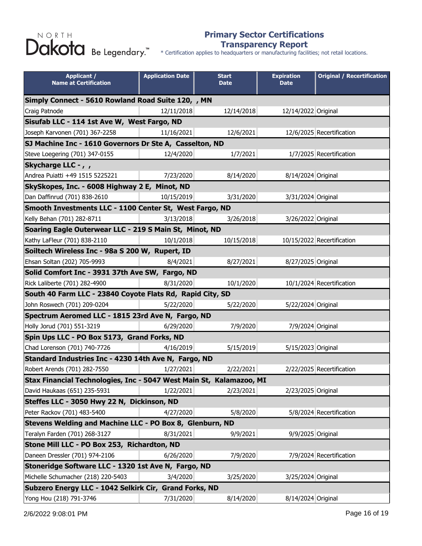#### **Primary Sector Certifications Transparency Report**

| <b>Applicant /</b><br><b>Name at Certification</b>                  | <b>Application Date</b> | <b>Start</b><br><b>Date</b> | <b>Expiration</b><br><b>Date</b> | <b>Original / Recertification</b> |  |
|---------------------------------------------------------------------|-------------------------|-----------------------------|----------------------------------|-----------------------------------|--|
| Simply Connect - 5610 Rowland Road Suite 120, , MN                  |                         |                             |                                  |                                   |  |
| Craig Patnode                                                       | 12/11/2018              | 12/14/2018                  | 12/14/2022 Original              |                                   |  |
| Sisufab LLC - 114 1st Ave W, West Fargo, ND                         |                         |                             |                                  |                                   |  |
| Joseph Karvonen (701) 367-2258                                      | 11/16/2021              | 12/6/2021                   |                                  | 12/6/2025 Recertification         |  |
| SJ Machine Inc - 1610 Governors Dr Ste A, Casselton, ND             |                         |                             |                                  |                                   |  |
| Steve Loegering (701) 347-0155                                      | 12/4/2020               | 1/7/2021                    |                                  | 1/7/2025 Recertification          |  |
| Skycharge LLC - , ,                                                 |                         |                             |                                  |                                   |  |
| Andrea Puiatti +49 1515 5225221                                     | 7/23/2020               | 8/14/2020                   | 8/14/2024 Original               |                                   |  |
| SkySkopes, Inc. - 6008 Highway 2 E, Minot, ND                       |                         |                             |                                  |                                   |  |
| Dan Daffinrud (701) 838-2610                                        | 10/15/2019              | 3/31/2020                   | 3/31/2024 Original               |                                   |  |
| Smooth Investments LLC - 1100 Center St, West Fargo, ND             |                         |                             |                                  |                                   |  |
| Kelly Behan (701) 282-8711                                          | 3/13/2018               | 3/26/2018                   | 3/26/2022 Original               |                                   |  |
| Soaring Eagle Outerwear LLC - 219 S Main St, Minot, ND              |                         |                             |                                  |                                   |  |
| Kathy LaFleur (701) 838-2110                                        | 10/1/2018               | 10/15/2018                  |                                  | 10/15/2022 Recertification        |  |
| Soiltech Wireless Inc - 98a S 200 W, Rupert, ID                     |                         |                             |                                  |                                   |  |
| Ehsan Soltan (202) 705-9993                                         | 8/4/2021                | 8/27/2021                   | 8/27/2025 Original               |                                   |  |
| Solid Comfort Inc - 3931 37th Ave SW, Fargo, ND                     |                         |                             |                                  |                                   |  |
| Rick Laliberte (701) 282-4900                                       | 8/31/2020               | 10/1/2020                   |                                  | 10/1/2024 Recertification         |  |
| South 40 Farm LLC - 23840 Coyote Flats Rd, Rapid City, SD           |                         |                             |                                  |                                   |  |
| John Roswech (701) 209-0204                                         | 5/22/2020               | 5/22/2020                   | 5/22/2024 Original               |                                   |  |
| Spectrum Aeromed LLC - 1815 23rd Ave N, Fargo, ND                   |                         |                             |                                  |                                   |  |
| Holly Jorud (701) 551-3219                                          | 6/29/2020               | 7/9/2020                    | 7/9/2024 Original                |                                   |  |
| Spin Ups LLC - PO Box 5173, Grand Forks, ND                         |                         |                             |                                  |                                   |  |
| Chad Lorenson (701) 740-7726                                        | 4/16/2019               | 5/15/2019                   | 5/15/2023 Original               |                                   |  |
| Standard Industries Inc - 4230 14th Ave N, Fargo, ND                |                         |                             |                                  |                                   |  |
| Robert Arends (701) 282-7550                                        | 1/27/2021               | 2/22/2021                   |                                  | 2/22/2025 Recertification         |  |
| Stax Financial Technologies, Inc - 5047 West Main St, Kalamazoo, MI |                         |                             |                                  |                                   |  |
| David Haukaas (651) 235-5931                                        | 1/22/2021               | 2/23/2021                   | 2/23/2025 Original               |                                   |  |
| Steffes LLC - 3050 Hwy 22 N, Dickinson, ND                          |                         |                             |                                  |                                   |  |
| Peter Rackov (701) 483-5400                                         | 4/27/2020               | 5/8/2020                    |                                  | 5/8/2024 Recertification          |  |
| Stevens Welding and Machine LLC - PO Box 8, Glenburn, ND            |                         |                             |                                  |                                   |  |
| Teralyn Farden (701) 268-3127                                       | 8/31/2021               | 9/9/2021                    | 9/9/2025 Original                |                                   |  |
| Stone Mill LLC - PO Box 253, Richardton, ND                         |                         |                             |                                  |                                   |  |
| Daneen Dressler (701) 974-2106                                      | 6/26/2020               | 7/9/2020                    |                                  | 7/9/2024 Recertification          |  |
| Stoneridge Software LLC - 1320 1st Ave N, Fargo, ND                 |                         |                             |                                  |                                   |  |
| Michelle Schumacher (218) 220-5403                                  | 3/4/2020                | 3/25/2020                   | 3/25/2024 Original               |                                   |  |
| Subzero Energy LLC - 1042 Selkirk Cir, Grand Forks, ND              |                         |                             |                                  |                                   |  |
| Yong Hou (218) 791-3746                                             | 7/31/2020               | 8/14/2020                   | 8/14/2024 Original               |                                   |  |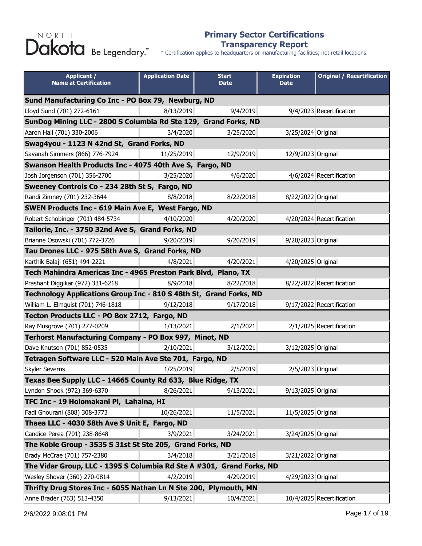#### **Primary Sector Certifications Transparency Report**

| <b>Applicant /</b><br><b>Name at Certification</b>                    | <b>Application Date</b> | <b>Start</b><br><b>Date</b> | <b>Expiration</b><br><b>Date</b> | <b>Original / Recertification</b> |  |
|-----------------------------------------------------------------------|-------------------------|-----------------------------|----------------------------------|-----------------------------------|--|
| Sund Manufacturing Co Inc - PO Box 79, Newburg, ND                    |                         |                             |                                  |                                   |  |
| Lloyd Sund (701) 272-6161                                             | 8/13/2019               | 9/4/2019                    |                                  | 9/4/2023 Recertification          |  |
| SunDog Mining LLC - 2800 S Columbia Rd Ste 129, Grand Forks, ND       |                         |                             |                                  |                                   |  |
| Aaron Hall (701) 330-2006                                             | 3/4/2020                | 3/25/2020                   | 3/25/2024 Original               |                                   |  |
| Swag4you - 1123 N 42nd St, Grand Forks, ND                            |                         |                             |                                  |                                   |  |
| Savanah Simmers (866) 776-7924                                        | 11/25/2019              | 12/9/2019                   | 12/9/2023 Original               |                                   |  |
| Swanson Health Products Inc - 4075 40th Ave S, Fargo, ND              |                         |                             |                                  |                                   |  |
| Josh Jorgenson (701) 356-2700                                         | 3/25/2020               | 4/6/2020                    |                                  | 4/6/2024 Recertification          |  |
| Sweeney Controls Co - 234 28th St S, Fargo, ND                        |                         |                             |                                  |                                   |  |
| Randi Zimney (701) 232-3644                                           | 8/8/2018                | 8/22/2018                   | 8/22/2022 Original               |                                   |  |
| SWEN Products Inc - 619 Main Ave E, West Fargo, ND                    |                         |                             |                                  |                                   |  |
| Robert Schobinger (701) 484-5734                                      | 4/10/2020               | 4/20/2020                   |                                  | 4/20/2024 Recertification         |  |
| Tailorie, Inc. - 3750 32nd Ave S, Grand Forks, ND                     |                         |                             |                                  |                                   |  |
| Brianne Osowski (701) 772-3726                                        | 9/20/2019               | 9/20/2019                   | 9/20/2023 Original               |                                   |  |
| Tau Drones LLC - 975 58th Ave S, Grand Forks, ND                      |                         |                             |                                  |                                   |  |
| Karthik Balaji (651) 494-2221                                         | 4/8/2021                | 4/20/2021                   | 4/20/2025 Original               |                                   |  |
| Tech Mahindra Americas Inc - 4965 Preston Park Blvd, Plano, TX        |                         |                             |                                  |                                   |  |
| Prashant Diggikar (972) 331-6218                                      | 8/9/2018                | 8/22/2018                   |                                  | 8/22/2022 Recertification         |  |
| Technology Applications Group Inc - 810 S 48th St, Grand Forks, ND    |                         |                             |                                  |                                   |  |
| William L. Elmquist (701) 746-1818                                    | 9/12/2018               | 9/17/2018                   |                                  | 9/17/2022 Recertification         |  |
| Tecton Products LLC - PO Box 2712, Fargo, ND                          |                         |                             |                                  |                                   |  |
| Ray Musgrove (701) 277-0209                                           | 1/13/2021               | 2/1/2021                    |                                  | 2/1/2025 Recertification          |  |
| Terhorst Manufacturing Company - PO Box 997, Minot, ND                |                         |                             |                                  |                                   |  |
| Dave Knutson (701) 852-0535                                           | 2/10/2021               | 3/12/2021                   | 3/12/2025 Original               |                                   |  |
| Tetragen Software LLC - 520 Main Ave Ste 701, Fargo, ND               |                         |                             |                                  |                                   |  |
| Skyler Severns                                                        | 1/25/2019               | 2/5/2019                    | 2/5/2023 Original                |                                   |  |
| Texas Bee Supply LLC - 14665 County Rd 633, Blue Ridge, TX            |                         |                             |                                  |                                   |  |
| Lyndon Shook (972) 369-6370                                           | 8/26/2021               | 9/13/2021                   | 9/13/2025 Original               |                                   |  |
| TFC Inc - 19 Holomakani Pl, Lahaina, HI                               |                         |                             |                                  |                                   |  |
| Fadi Ghourani (808) 308-3773                                          | 10/26/2021              | 11/5/2021                   | 11/5/2025 Original               |                                   |  |
| Thaea LLC - 4030 58th Ave S Unit E, Fargo, ND                         |                         |                             |                                  |                                   |  |
| Candice Perea (701) 238-8648                                          | 3/9/2021                | 3/24/2021                   | 3/24/2025 Original               |                                   |  |
| The Koble Group - 3535 S 31st St Ste 205, Grand Forks, ND             |                         |                             |                                  |                                   |  |
| Brady McCrae (701) 757-2380                                           | 3/4/2018                | 3/21/2018                   | 3/21/2022 Original               |                                   |  |
| The Vidar Group, LLC - 1395 S Columbia Rd Ste A #301, Grand Forks, ND |                         |                             |                                  |                                   |  |
| Wesley Shover (360) 270-0814                                          | 4/2/2019                | 4/29/2019                   | 4/29/2023 Original               |                                   |  |
| Thrifty Drug Stores Inc - 6055 Nathan Ln N Ste 200, Plymouth, MN      |                         |                             |                                  |                                   |  |
| Anne Brader (763) 513-4350                                            | 9/13/2021               | 10/4/2021                   |                                  | 10/4/2025 Recertification         |  |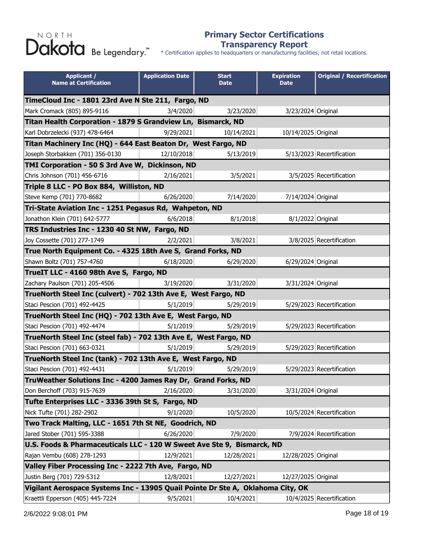#### **Primary Sector Certifications Transparency Report**

| <b>Applicant /</b><br><b>Name at Certification</b>                              | <b>Application Date</b> | <b>Start</b><br><b>Date</b> | <b>Expiration</b><br><b>Date</b> | <b>Original / Recertification</b> |  |
|---------------------------------------------------------------------------------|-------------------------|-----------------------------|----------------------------------|-----------------------------------|--|
| TimeCloud Inc - 1801 23rd Ave N Ste 211, Fargo, ND                              |                         |                             |                                  |                                   |  |
| Mark Cromack (805) 895-9116                                                     | 3/4/2020                | 3/23/2020                   | 3/23/2024 Original               |                                   |  |
| Titan Health Corporation - 1879 S Grandview Ln, Bismarck, ND                    |                         |                             |                                  |                                   |  |
| Karl Dobrzelecki (937) 478-6464                                                 | 9/29/2021               | 10/14/2021                  | 10/14/2025 Original              |                                   |  |
| Titan Machinery Inc (HQ) - 644 East Beaton Dr, West Fargo, ND                   |                         |                             |                                  |                                   |  |
| Joseph Storbakken (701) 356-0130                                                | 12/10/2018              | 5/13/2019                   |                                  | 5/13/2023 Recertification         |  |
| TMI Corporation - 50 S 3rd Ave W, Dickinson, ND                                 |                         |                             |                                  |                                   |  |
| Chris Johnson (701) 456-6716                                                    | 2/16/2021               | 3/5/2021                    |                                  | 3/5/2025 Recertification          |  |
| Triple 8 LLC - PO Box 884, Williston, ND                                        |                         |                             |                                  |                                   |  |
| Steve Kemp (701) 770-8682                                                       | 6/26/2020               | 7/14/2020                   | 7/14/2024 Original               |                                   |  |
| Tri-State Aviation Inc - 1251 Pegasus Rd, Wahpeton, ND                          |                         |                             |                                  |                                   |  |
| Jonathon Klein (701) 642-5777                                                   | 6/6/2018                | 8/1/2018                    | 8/1/2022 Original                |                                   |  |
| TRS Industries Inc - 1230 40 St NW, Fargo, ND                                   |                         |                             |                                  |                                   |  |
| Joy Cossette (701) 277-1749                                                     | 2/2/2021                | 3/8/2021                    |                                  | 3/8/2025 Recertification          |  |
| True North Equipment Co. - 4325 18th Ave S, Grand Forks, ND                     |                         |                             |                                  |                                   |  |
| Shawn Boltz (701) 757-4760                                                      | 6/18/2020               | 6/29/2020                   | 6/29/2024 Original               |                                   |  |
| TrueIT LLC - 4160 98th Ave S, Fargo, ND                                         |                         |                             |                                  |                                   |  |
| Zachary Paulson (701) 205-4506                                                  | 3/19/2020               | 3/31/2020                   | 3/31/2024 Original               |                                   |  |
| TrueNorth Steel Inc (culvert) - 702 13th Ave E, West Fargo, ND                  |                         |                             |                                  |                                   |  |
| Staci Pescion (701) 492-4425                                                    | 5/1/2019                | 5/29/2019                   |                                  | 5/29/2023 Recertification         |  |
| TrueNorth Steel Inc (HQ) - 702 13th Ave E, West Fargo, ND                       |                         |                             |                                  |                                   |  |
| Staci Pescion (701) 492-4474                                                    | 5/1/2019                | 5/29/2019                   |                                  | 5/29/2023 Recertification         |  |
| TrueNorth Steel Inc (steel fab) - 702 13th Ave E, West Fargo, ND                |                         |                             |                                  |                                   |  |
| Staci Pescion (701) 663-0321                                                    | 5/1/2019                | 5/29/2019                   |                                  | 5/29/2023 Recertification         |  |
| TrueNorth Steel Inc (tank) - 702 13th Ave E, West Fargo, ND                     |                         |                             |                                  |                                   |  |
| Staci Pescion (701) 492-4431                                                    | 5/1/2019                | 5/29/2019                   |                                  | 5/29/2023 Recertification         |  |
| TruWeather Solutions Inc - 4200 James Ray Dr, Grand Forks, ND                   |                         |                             |                                  |                                   |  |
| Don Berchoff (703) 915-7639                                                     | 2/16/2020               | 3/31/2020                   | 3/31/2024 Original               |                                   |  |
| Tufte Enterprises LLC - 3336 39th St S, Fargo, ND                               |                         |                             |                                  |                                   |  |
| Nick Tufte (701) 282-2902                                                       | 9/1/2020                | 10/5/2020                   |                                  | 10/5/2024 Recertification         |  |
| Two Track Malting, LLC - 1651 7th St NE, Goodrich, ND                           |                         |                             |                                  |                                   |  |
| Jared Stober (701) 595-3388                                                     | 6/26/2020               | 7/9/2020                    |                                  | 7/9/2024 Recertification          |  |
| U.S. Foods & Pharmaceuticals LLC - 120 W Sweet Ave Ste 9, Bismarck, ND          |                         |                             |                                  |                                   |  |
| Rajan Vembu (608) 278-1293                                                      | 12/9/2021               | 12/28/2021                  | 12/28/2025 Original              |                                   |  |
| Valley Fiber Processing Inc - 2222 7th Ave, Fargo, ND                           |                         |                             |                                  |                                   |  |
| Justin Berg (701) 729-5312                                                      | 12/8/2021               | 12/27/2021                  | 12/27/2025 Original              |                                   |  |
| Vigilant Aerospace Systems Inc - 13905 Quail Pointe Dr Ste A, Oklahoma City, OK |                         |                             |                                  |                                   |  |
| Kraettli Epperson (405) 445-7224                                                | 9/5/2021                | 10/4/2021                   |                                  | 10/4/2025 Recertification         |  |